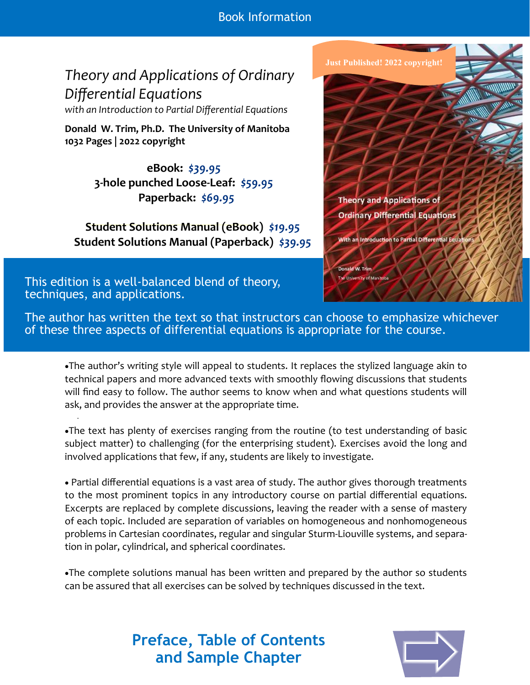Book Information

# *Theory and Applications of Ordinary Differential Equations*

*with an Introduction to Partial Differential Equations*

**Donald W. Trim, Ph.D. The University of Manitoba 1032 Pages | 2022 copyright**

> **eBook:** *\$39.95*  **3-hole punched Loose-Leaf:** *\$59.95*  **Paperback:** *\$69.95*

**Student Solutions Manual (eBook)** *\$19.95* **Student Solutions Manual (Paperback)** *\$39.95*

This edition is a well-balanced blend of theory, techniques, and applications.



The author has written the text so that instructors can choose to emphasize whichever of these three aspects of differential equations is appropriate for the course.

•The author's writing style will appeal to students. It replaces the stylized language akin to technical papers and more advanced texts with smoothly flowing discussions that students will find easy to follow. The author seems to know when and what questions students will ask, and provides the answer at the appropriate time.

•The text has plenty of exercises ranging from the routine (to test understanding of basic subject matter) to challenging (for the enterprising student). Exercises avoid the long and involved applications that few, if any, students are likely to investigate.

• Partial differential equations is a vast area of study. The author gives thorough treatments to the most prominent topics in any introductory course on partial differential equations. Excerpts are replaced by complete discussions, leaving the reader with a sense of mastery of each topic. Included are separation of variables on homogeneous and nonhomogeneous problems in Cartesian coordinates, regular and singular Sturm-Liouville systems, and separation in polar, cylindrical, and spherical coordinates.

•The complete solutions manual has been written and prepared by the author so students can be assured that all exercises can be solved by techniques discussed in the text.

# **Preface, Table of Contents and Sample Chapter**

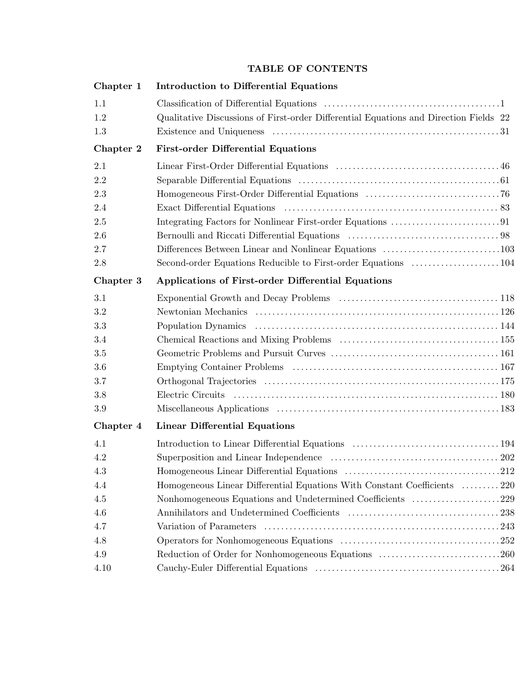## **TABLE OF CONTENTS**

| Chapter 1 | <b>Introduction to Differential Equations</b>                                         |  |
|-----------|---------------------------------------------------------------------------------------|--|
| 1.1       |                                                                                       |  |
| 1.2       | Qualitative Discussions of First-order Differential Equations and Direction Fields 22 |  |
| 1.3       |                                                                                       |  |
| Chapter 2 | <b>First-order Differential Equations</b>                                             |  |
| 2.1       |                                                                                       |  |
| 2.2       |                                                                                       |  |
| 2.3       |                                                                                       |  |
| 2.4       |                                                                                       |  |
| 2.5       |                                                                                       |  |
| 2.6       |                                                                                       |  |
| 2.7       |                                                                                       |  |
| 2.8       |                                                                                       |  |
| Chapter 3 | <b>Applications of First-order Differential Equations</b>                             |  |
| 3.1       |                                                                                       |  |
| 3.2       |                                                                                       |  |
| 3.3       |                                                                                       |  |
| 3.4       |                                                                                       |  |
| 3.5       |                                                                                       |  |
| 3.6       |                                                                                       |  |
| 3.7       |                                                                                       |  |
| 3.8       |                                                                                       |  |
| 3.9       |                                                                                       |  |
| Chapter 4 | <b>Linear Differential Equations</b>                                                  |  |
| 4.1       |                                                                                       |  |
| 4.2       |                                                                                       |  |
| 4.3       |                                                                                       |  |
| 4.4       | Homogeneous Linear Differential Equations With Constant Coefficients 220              |  |
| 4.5       | Nonhomogeneous Equations and Undetermined Coefficients 229                            |  |
| 4.6       |                                                                                       |  |
| 4.7       |                                                                                       |  |
| 4.8       |                                                                                       |  |
| 4.9       | Reduction of Order for Nonhomogeneous Equations 260                                   |  |
| 4.10      |                                                                                       |  |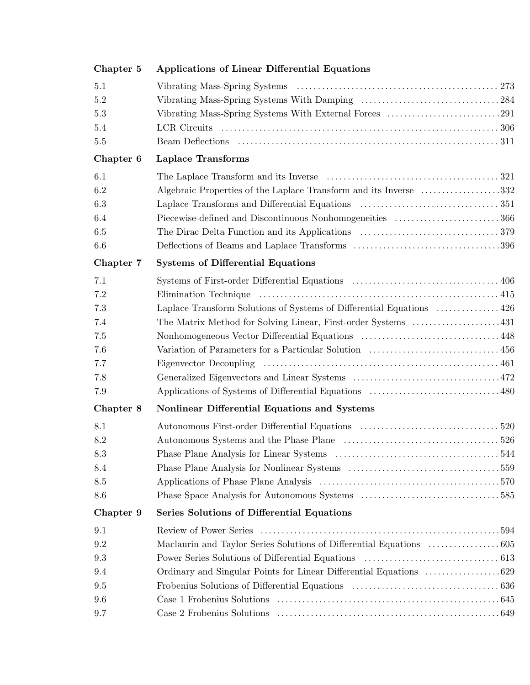| Chapter 5 | <b>Applications of Linear Differential Equations</b>                                           |
|-----------|------------------------------------------------------------------------------------------------|
| 5.1       |                                                                                                |
| 5.2       |                                                                                                |
| 5.3       |                                                                                                |
| 5.4       |                                                                                                |
| $5.5\,$   |                                                                                                |
| Chapter 6 | <b>Laplace Transforms</b>                                                                      |
| 6.1       |                                                                                                |
| 6.2       | Algebraic Properties of the Laplace Transform and its Inverse 332                              |
| 6.3       |                                                                                                |
| 6.4       | Piecewise-defined and Discontinuous Nonhomogeneities $\dots\dots\dots\dots\dots\dots\dots 366$ |
| 6.5       |                                                                                                |
| 6.6       |                                                                                                |
| Chapter 7 | <b>Systems of Differential Equations</b>                                                       |
| 7.1       |                                                                                                |
| 7.2       |                                                                                                |
| 7.3       | Laplace Transform Solutions of Systems of Differential Equations  426                          |
| 7.4       |                                                                                                |
| 7.5       |                                                                                                |
| 7.6       |                                                                                                |
| 7.7       | Eigenvector Decoupling                                                                         |
| 7.8       |                                                                                                |
| 7.9       |                                                                                                |
| Chapter 8 | Nonlinear Differential Equations and Systems                                                   |
| 8.1       |                                                                                                |
| 8.2       |                                                                                                |
| 8.3       |                                                                                                |
| 8.4       |                                                                                                |
| 8.5       |                                                                                                |
| 8.6       |                                                                                                |
| Chapter 9 | Series Solutions of Differential Equations                                                     |
| 9.1       | Review of Power Series                                                                         |
| 9.2       |                                                                                                |
| 9.3       |                                                                                                |
| 9.4       |                                                                                                |
| 9.5       |                                                                                                |
| 9.6       |                                                                                                |
| 9.7       |                                                                                                |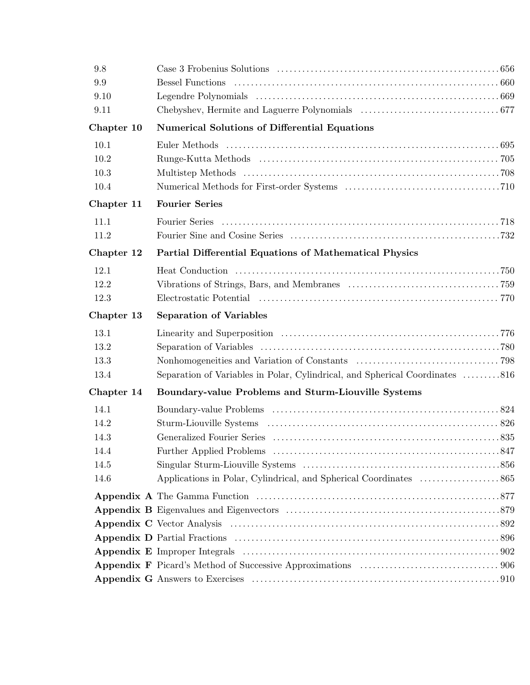| 9.8        |                                                                                                                                                                                                                                |  |
|------------|--------------------------------------------------------------------------------------------------------------------------------------------------------------------------------------------------------------------------------|--|
| 9.9        | <b>Bessel Functions</b>                                                                                                                                                                                                        |  |
| 9.10       |                                                                                                                                                                                                                                |  |
| 9.11       |                                                                                                                                                                                                                                |  |
| Chapter 10 | <b>Numerical Solutions of Differential Equations</b>                                                                                                                                                                           |  |
| 10.1       | Euler Methods (a) and the context of the context of the set of the context of the set of the set of the set of the set of the set of the set of the set of the set of the set of the set of the set of the set of the set of t |  |
| 10.2       |                                                                                                                                                                                                                                |  |
| 10.3       |                                                                                                                                                                                                                                |  |
| 10.4       |                                                                                                                                                                                                                                |  |
| Chapter 11 | <b>Fourier Series</b>                                                                                                                                                                                                          |  |
| 11.1       |                                                                                                                                                                                                                                |  |
| 11.2       |                                                                                                                                                                                                                                |  |
| Chapter 12 | <b>Partial Differential Equations of Mathematical Physics</b>                                                                                                                                                                  |  |
| 12.1       |                                                                                                                                                                                                                                |  |
| 12.2       |                                                                                                                                                                                                                                |  |
| 12.3       |                                                                                                                                                                                                                                |  |
| Chapter 13 | <b>Separation of Variables</b>                                                                                                                                                                                                 |  |
| 13.1       |                                                                                                                                                                                                                                |  |
| 13.2       |                                                                                                                                                                                                                                |  |
| 13.3       |                                                                                                                                                                                                                                |  |
| 13.4       | Separation of Variables in Polar, Cylindrical, and Spherical Coordinates 816                                                                                                                                                   |  |
| Chapter 14 | Boundary-value Problems and Sturm-Liouville Systems                                                                                                                                                                            |  |
| 14.1       |                                                                                                                                                                                                                                |  |
| 14.2       |                                                                                                                                                                                                                                |  |
| 14.3       |                                                                                                                                                                                                                                |  |
| 14.4       |                                                                                                                                                                                                                                |  |
| 14.5       |                                                                                                                                                                                                                                |  |
| 14.6       |                                                                                                                                                                                                                                |  |
|            |                                                                                                                                                                                                                                |  |
|            |                                                                                                                                                                                                                                |  |
|            |                                                                                                                                                                                                                                |  |
|            |                                                                                                                                                                                                                                |  |
|            |                                                                                                                                                                                                                                |  |
|            |                                                                                                                                                                                                                                |  |
|            |                                                                                                                                                                                                                                |  |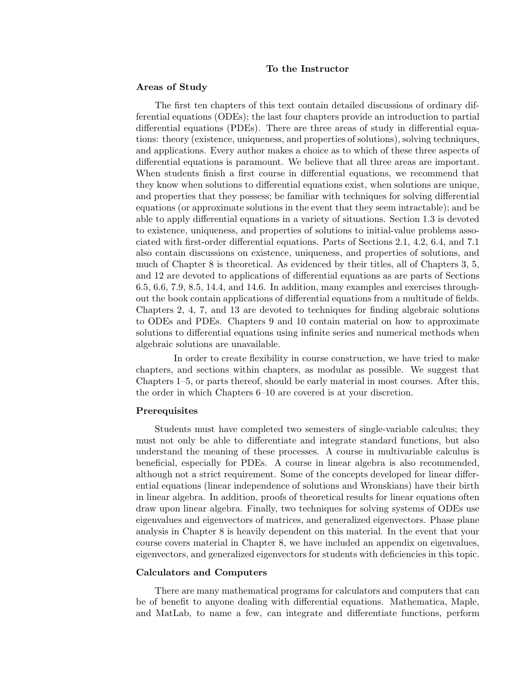#### **To the Instructor**

#### **Areas of Study**

The first ten chapters of this text contain detailed discussions of ordinary differential equations (ODEs); the last four chapters provide an introduction to partial differential equations (PDEs). There are three areas of study in differential equations: theory (existence, uniqueness, and properties of solutions), solving techniques, and applications. Every author makes a choice as to which of these three aspects of differential equations is paramount. We believe that all three areas are important. When students finish a first course in differential equations, we recommend that they know when solutions to differential equations exist, when solutions are unique, and properties that they possess; be familiar with techniques for solving differential equations (or approximate solutions in the event that they seem intractable); and be able to apply differential equations in a variety of situations. Section 1.3 is devoted to existence, uniqueness, and properties of solutions to initial-value problems associated with first-order differential equations. Parts of Sections 2.1, 4.2, 6.4, and 7.1 also contain discussions on existence, uniqueness, and properties of solutions, and much of Chapter 8 is theoretical. As evidenced by their titles, all of Chapters 3, 5, and 12 are devoted to applications of differential equations as are parts of Sections 6.5, 6.6, 7.9, 8.5, 14.4, and 14.6. In addition, many examples and exercises throughout the book contain applications of differential equations from a multitude of fields. Chapters 2, 4, 7, and 13 are devoted to techniques for finding algebraic solutions to ODEs and PDEs. Chapters 9 and 10 contain material on how to approximate solutions to differential equations using infinite series and numerical methods when algebraic solutions are unavailable.

In order to create flexibility in course construction, we have tried to make chapters, and sections within chapters, as modular as possible. We suggest that Chapters 1–5, or parts thereof, should be early material in most courses. After this, the order in which Chapters 6–10 are covered is at your discretion.

#### **Prerequisites**

Students must have completed two semesters of single-variable calculus; they must not only be able to differentiate and integrate standard functions, but also understand the meaning of these processes. A course in multivariable calculus is beneficial, especially for PDEs. A course in linear algebra is also recommended, although not a strict requirement. Some of the concepts developed for linear differential equations (linear independence of solutions and Wronskians) have their birth in linear algebra. In addition, proofs of theoretical results for linear equations often draw upon linear algebra. Finally, two techniques for solving systems of ODEs use eigenvalues and eigenvectors of matrices, and generalized eigenvectors. Phase plane analysis in Chapter 8 is heavily dependent on this material. In the event that your course covers material in Chapter 8, we have included an appendix on eigenvalues, eigenvectors, and generalized eigenvectors for students with deficiencies in this topic.

#### **Calculators and Computers**

There are many mathematical programs for calculators and computers that can be of benefit to anyone dealing with differential equations. Mathematica, Maple, and MatLab, to name a few, can integrate and differentiate functions, perform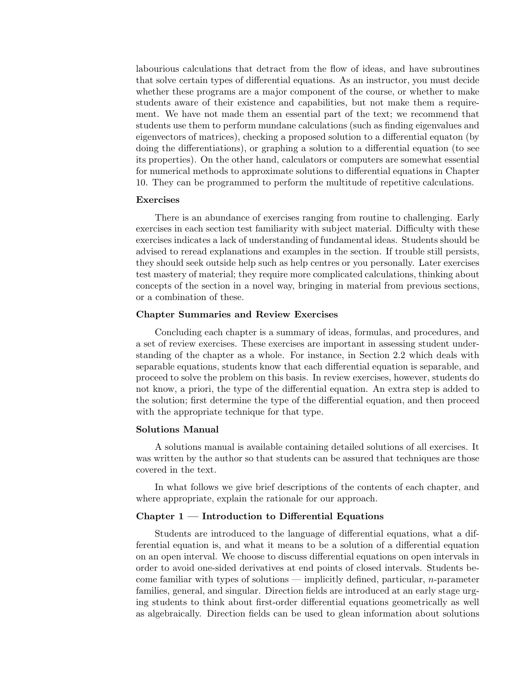labourious calculations that detract from the flow of ideas, and have subroutines that solve certain types of differential equations. As an instructor, you must decide whether these programs are a major component of the course, or whether to make students aware of their existence and capabilities, but not make them a requirement. We have not made them an essential part of the text; we recommend that students use them to perform mundane calculations (such as finding eigenvalues and eigenvectors of matrices), checking a proposed solution to a differential equaton (by doing the differentiations), or graphing a solution to a differential equation (to see its properties). On the other hand, calculators or computers are somewhat essential for numerical methods to approximate solutions to differential equations in Chapter 10. They can be programmed to perform the multitude of repetitive calculations.

#### **Exercises**

There is an abundance of exercises ranging from routine to challenging. Early exercises in each section test familiarity with subject material. Difficulty with these exercises indicates a lack of understanding of fundamental ideas. Students should be advised to reread explanations and examples in the section. If trouble still persists, they should seek outside help such as help centres or you personally. Later exercises test mastery of material; they require more complicated calculations, thinking about concepts of the section in a novel way, bringing in material from previous sections, or a combination of these.

#### **Chapter Summaries and Review Exercises**

Concluding each chapter is a summary of ideas, formulas, and procedures, and a set of review exercises. These exercises are important in assessing student understanding of the chapter as a whole. For instance, in Section 2.2 which deals with separable equations, students know that each differential equation is separable, and proceed to solve the problem on this basis. In review exercises, however, students do not know, a priori, the type of the differential equation. An extra step is added to the solution; first determine the type of the differential equation, and then proceed with the appropriate technique for that type.

#### **Solutions Manual**

A solutions manual is available containing detailed solutions of all exercises. It was written by the author so that students can be assured that techniques are those covered in the text.

In what follows we give brief descriptions of the contents of each chapter, and where appropriate, explain the rationale for our approach.

## **Chapter 1 — Introduction to Differential Equations**

Students are introduced to the language of differential equations, what a differential equation is, and what it means to be a solution of a differential equation on an open interval. We choose to discuss differential equations on open intervals in order to avoid one-sided derivatives at end points of closed intervals. Students become familiar with types of solutions — implicitly defined, particular, *n*-parameter families, general, and singular. Direction fields are introduced at an early stage urging students to think about first-order differential equations geometrically as well as algebraically. Direction fields can be used to glean information about solutions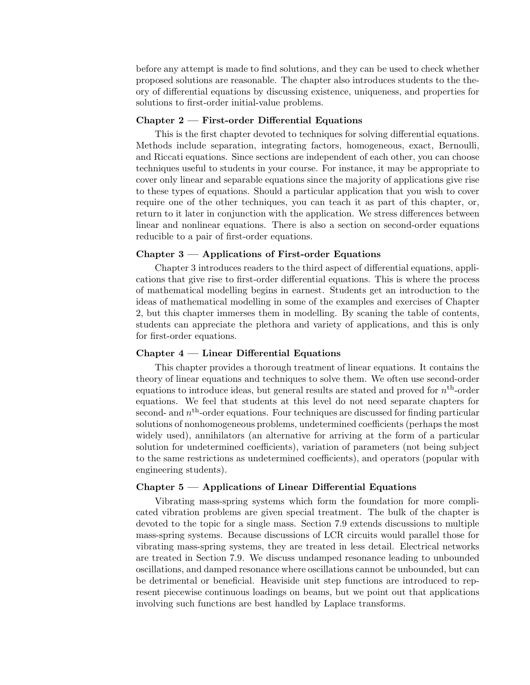before any attempt is made to find solutions, and they can be used to check whether proposed solutions are reasonable. The chapter also introduces students to the theory of differential equations by discussing existence, uniqueness, and properties for solutions to first-order initial-value problems.

#### **Chapter 2 — First-order Differential Equations**

This is the first chapter devoted to techniques for solving differential equations. Methods include separation, integrating factors, homogeneous, exact, Bernoulli, and Riccati equations. Since sections are independent of each other, you can choose techniques useful to students in your course. For instance, it may be appropriate to cover only linear and separable equations since the majority of applications give rise to these types of equations. Should a particular application that you wish to cover require one of the other techniques, you can teach it as part of this chapter, or, return to it later in conjunction with the application. We stress differences between linear and nonlinear equations. There is also a section on second-order equations reducible to a pair of first-order equations.

## **Chapter 3 — Applications of First-order Equations**

Chapter 3 introduces readers to the third aspect of differential equations, applications that give rise to first-order differential equations. This is where the process of mathematical modelling begins in earnest. Students get an introduction to the ideas of mathematical modelling in some of the examples and exercises of Chapter 2, but this chapter immerses them in modelling. By scaning the table of contents, students can appreciate the plethora and variety of applications, and this is only for first-order equations.

## **Chapter 4 — Linear Differential Equations**

This chapter provides a thorough treatment of linear equations. It contains the theory of linear equations and techniques to solve them. We often use second-order equations to introduce ideas, but general results are stated and proved for *n*th-order equations. We feel that students at this level do not need separate chapters for second- and *n*th-order equations. Four techniques are discussed for finding particular solutions of nonhomogeneous problems, undetermined coefficients (perhaps the most widely used), annihilators (an alternative for arriving at the form of a particular solution for undetermined coefficients), variation of parameters (not being subject to the same restrictions as undetermined coefficients), and operators (popular with engineering students).

## **Chapter 5 — Applications of Linear Differential Equations**

Vibrating mass-spring systems which form the foundation for more complicated vibration problems are given special treatment. The bulk of the chapter is devoted to the topic for a single mass. Section 7.9 extends discussions to multiple mass-spring systems. Because discussions of LCR circuits would parallel those for vibrating mass-spring systems, they are treated in less detail. Electrical networks are treated in Section 7.9. We discuss undamped resonance leading to unbounded oscillations, and damped resonance where oscillations cannot be unbounded, but can be detrimental or beneficial. Heaviside unit step functions are introduced to represent piecewise continuous loadings on beams, but we point out that applications involving such functions are best handled by Laplace transforms.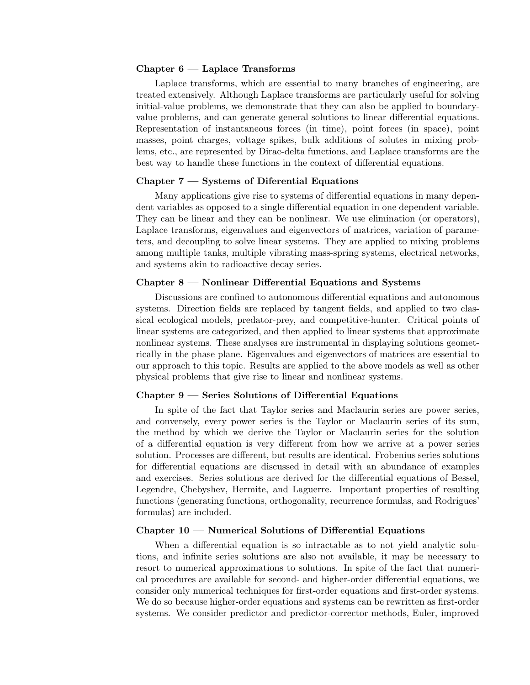## **Chapter 6 — Laplace Transforms**

Laplace transforms, which are essential to many branches of engineering, are treated extensively. Although Laplace transforms are particularly useful for solving initial-value problems, we demonstrate that they can also be applied to boundaryvalue problems, and can generate general solutions to linear differential equations. Representation of instantaneous forces (in time), point forces (in space), point masses, point charges, voltage spikes, bulk additions of solutes in mixing problems, etc., are represented by Dirac-delta functions, and Laplace transforms are the best way to handle these functions in the context of differential equations.

## **Chapter 7 — Systems of Diferential Equations**

Many applications give rise to systems of differential equations in many dependent variables as opposed to a single differential equation in one dependent variable. They can be linear and they can be nonlinear. We use elimination (or operators), Laplace transforms, eigenvalues and eigenvectors of matrices, variation of parameters, and decoupling to solve linear systems. They are applied to mixing problems among multiple tanks, multiple vibrating mass-spring systems, electrical networks, and systems akin to radioactive decay series.

## **Chapter 8 — Nonlinear Differential Equations and Systems**

Discussions are confined to autonomous differential equations and autonomous systems. Direction fields are replaced by tangent fields, and applied to two classical ecological models, predator-prey, and competitive-hunter. Critical points of linear systems are categorized, and then applied to linear systems that approximate nonlinear systems. These analyses are instrumental in displaying solutions geometrically in the phase plane. Eigenvalues and eigenvectors of matrices are essential to our approach to this topic. Results are applied to the above models as well as other physical problems that give rise to linear and nonlinear systems.

## **Chapter 9 — Series Solutions of Differential Equations**

In spite of the fact that Taylor series and Maclaurin series are power series, and conversely, every power series is the Taylor or Maclaurin series of its sum, the method by which we derive the Taylor or Maclaurin series for the solution of a differential equation is very different from how we arrive at a power series solution. Processes are different, but results are identical. Frobenius series solutions for differential equations are discussed in detail with an abundance of examples and exercises. Series solutions are derived for the differential equations of Bessel, Legendre, Chebyshev, Hermite, and Laguerre. Important properties of resulting functions (generating functions, orthogonality, recurrence formulas, and Rodrigues' formulas) are included.

#### **Chapter 10 — Numerical Solutions of Differential Equations**

When a differential equation is so intractable as to not yield analytic solutions, and infinite series solutions are also not available, it may be necessary to resort to numerical approximations to solutions. In spite of the fact that numerical procedures are available for second- and higher-order differential equations, we consider only numerical techniques for first-order equations and first-order systems. We do so because higher-order equations and systems can be rewritten as first-order systems. We consider predictor and predictor-corrector methods, Euler, improved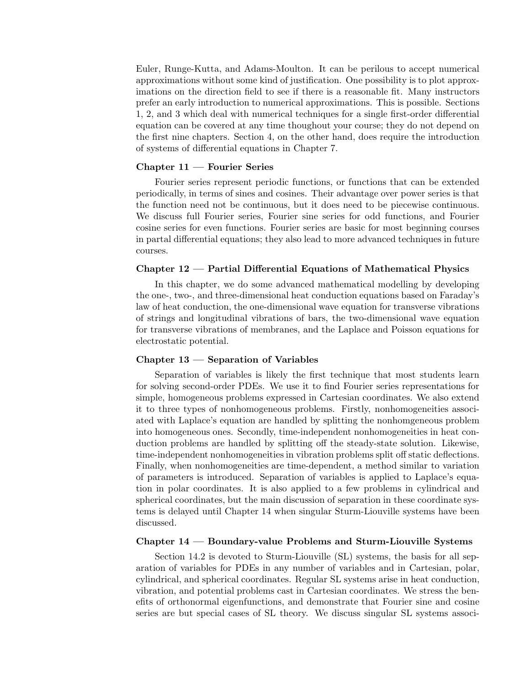Euler, Runge-Kutta, and Adams-Moulton. It can be perilous to accept numerical approximations without some kind of justification. One possibility is to plot approximations on the direction field to see if there is a reasonable fit. Many instructors prefer an early introduction to numerical approximations. This is possible. Sections 1, 2, and 3 which deal with numerical techniques for a single first-order differential equation can be covered at any time thoughout your course; they do not depend on the first nine chapters. Section 4, on the other hand, does require the introduction of systems of differential equations in Chapter 7.

## **Chapter 11 — Fourier Series**

Fourier series represent periodic functions, or functions that can be extended periodically, in terms of sines and cosines. Their advantage over power series is that the function need not be continuous, but it does need to be piecewise continuous. We discuss full Fourier series, Fourier sine series for odd functions, and Fourier cosine series for even functions. Fourier series are basic for most beginning courses in partal differential equations; they also lead to more advanced techniques in future courses.

#### **Chapter 12 — Partial Differential Equations of Mathematical Physics**

In this chapter, we do some advanced mathematical modelling by developing the one-, two-, and three-dimensional heat conduction equations based on Faraday's law of heat conduction, the one-dimensional wave equation for transverse vibrations of strings and longitudinal vibrations of bars, the two-dimensional wave equation for transverse vibrations of membranes, and the Laplace and Poisson equations for electrostatic potential.

#### **Chapter 13 — Separation of Variables**

Separation of variables is likely the first technique that most students learn for solving second-order PDEs. We use it to find Fourier series representations for simple, homogeneous problems expressed in Cartesian coordinates. We also extend it to three types of nonhomogeneous problems. Firstly, nonhomogeneities associated with Laplace's equation are handled by splitting the nonhomgeneous problem into homogeneous ones. Secondly, time-independent nonhomogeneities in heat conduction problems are handled by splitting off the steady-state solution. Likewise, time-independent nonhomogeneities in vibration problems split off static deflections. Finally, when nonhomogeneities are time-dependent, a method similar to variation of parameters is introduced. Separation of variables is applied to Laplace's equation in polar coordinates. It is also applied to a few problems in cylindrical and spherical coordinates, but the main discussion of separation in these coordinate systems is delayed until Chapter 14 when singular Sturm-Liouville systems have been discussed.

## **Chapter 14 — Boundary-value Problems and Sturm-Liouville Systems**

Section 14.2 is devoted to Sturm-Liouville (SL) systems, the basis for all separation of variables for PDEs in any number of variables and in Cartesian, polar, cylindrical, and spherical coordinates. Regular SL systems arise in heat conduction, vibration, and potential problems cast in Cartesian coordinates. We stress the benefits of orthonormal eigenfunctions, and demonstrate that Fourier sine and cosine series are but special cases of SL theory. We discuss singular SL systems associ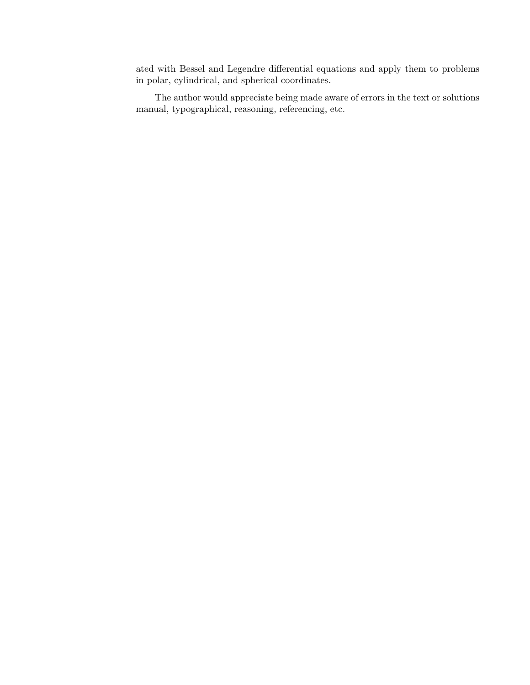ated with Bessel and Legendre differential equations and apply them to problems in polar, cylindrical, and spherical coordinates.

The author would appreciate being made aware of errors in the text or solutions manual, typographical, reasoning, referencing, etc.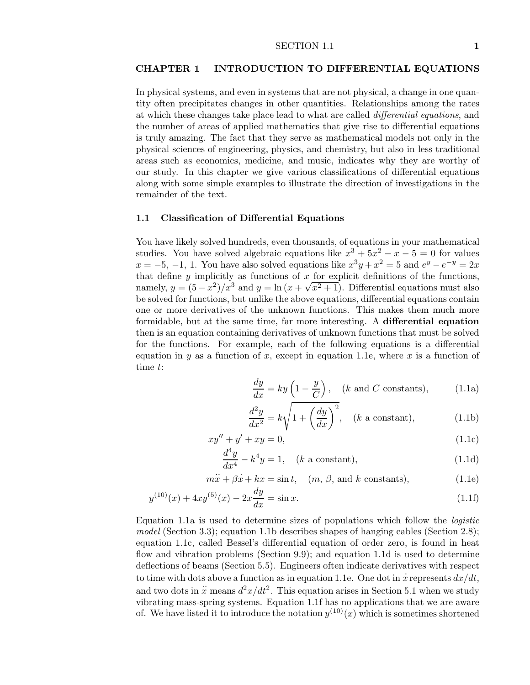## **CHAPTER 1 INTRODUCTION TO DIFFERENTIAL EQUATIONS**

In physical systems, and even in systems that are not physical, a change in one quantity often precipitates changes in other quantities. Relationships among the rates at which these changes take place lead to what are called *differential equations*, and the number of areas of applied mathematics that give rise to differential equations is truly amazing. The fact that they serve as mathematical models not only in the physical sciences of engineering, physics, and chemistry, but also in less traditional areas such as economics, medicine, and music, indicates why they are worthy of our study. In this chapter we give various classifications of differential equations along with some simple examples to illustrate the direction of investigations in the remainder of the text.

### **1.1 Classification of Differential Equations**

You have likely solved hundreds, even thousands, of equations in your mathematical studies. You have solved algebraic equations like  $x^3 + 5x^2 - x - 5 = 0$  for values  $x = -5, -1, 1$ . You have also solved equations like  $x^3y + x^2 = 5$  and  $e^y - e^{-y} = 2x$ that define  $y$  implicitly as functions of  $x$  for explicit definitions of the functions, namely,  $y = (5 - x^2)/x^3$  and  $y = \ln(x + \sqrt{x^2 + 1})$ . Differential equations must also be solved for functions, but unlike the above equations, differential equations contain one or more derivatives of the unknown functions. This makes them much more formidable, but at the same time, far more interesting. A **differential equation** then is an equation containing derivatives of unknown functions that must be solved for the functions. For example, each of the following equations is a differential equation in *y* as a function of *x*, except in equation 1.1e, where *x* is a function of time *t*:

$$
\frac{dy}{dx} = ky\left(1 - \frac{y}{C}\right), \quad (k \text{ and } C \text{ constants}), \tag{1.1a}
$$

$$
\frac{d^2y}{dx^2} = k\sqrt{1 + \left(\frac{dy}{dx}\right)^2}, \quad (k \text{ a constant}), \tag{1.1b}
$$

$$
xy'' + y' + xy = 0,\t(1.1c)
$$

$$
\frac{d^4y}{dx^4} - k^4y = 1, \quad (k \text{ a constant}), \tag{1.1d}
$$

$$
m\ddot{x} + \beta \dot{x} + kx = \sin t, \quad (m, \beta, \text{ and } k \text{ constants}), \tag{1.1e}
$$

$$
y^{(10)}(x) + 4xy^{(5)}(x) - 2x\frac{dy}{dx} = \sin x.
$$
\n(1.1f)

Equation 1.1a is used to determine sizes of populations which follow the *logistic model* (Section 3.3); equation 1.1b describes shapes of hanging cables (Section 2.8); equation 1.1c, called Bessel's differential equation of order zero, is found in heat flow and vibration problems (Section 9.9); and equation 1.1d is used to determine deflections of beams (Section 5.5). Engineers often indicate derivatives with respect to time with dots above a function as in equation 1.1e. One dot in  $\dot{x}$  represents  $dx/dt$ , and two dots in  $\ddot{x}$  means  $d^2x/dt^2$ . This equation arises in Section 5.1 when we study vibrating mass-spring systems. Equation 1.1f has no applications that we are aware of. We have listed it to introduce the notation  $y^{(10)}(x)$  which is sometimes shortened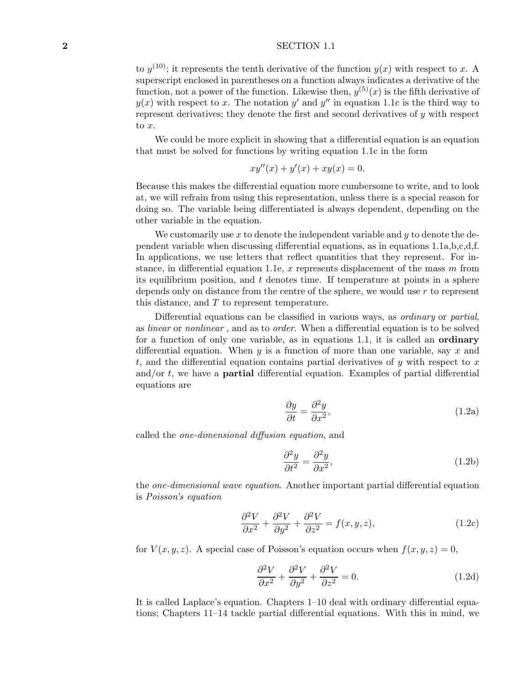## **2** SECTION 1.1

to  $y^{(10)}$ ; it represents the tenth derivative of the function  $y(x)$  with respect to *x*. A superscript enclosed in parentheses on a function always indicates a derivative of the function, not a power of the function. Likewise then,  $y^{(5)}(x)$  is the fifth derivative of  $y(x)$  with respect to *x*. The notation  $y'$  and  $y''$  in equation 1.1c is the third way to represent derivatives; they denote the first and second derivatives of *y* with respect to *x*.

We could be more explicit in showing that a differential equation is an equation that must be solved for functions by writing equation 1.1c in the form

$$
xy''(x) + y'(x) + xy(x) = 0.
$$

Because this makes the differential equation more cumbersome to write, and to look at, we will refrain from using this representation, unless there is a special reason for doing so. The variable being differentiated is always dependent, depending on the other variable in the equation.

We customarily use *x* to denote the independent variable and *y* to denote the dependent variable when discussing differential equations, as in equations 1.1a,b,c,d,f. In applications, we use letters that reflect quantities that they represent. For instance, in differential equation 1.1e, *x* represents displacement of the mass *m* from its equilibrium position, and *t* denotes time. If temperature at points in a sphere depends only on distance from the centre of the sphere, we would use *r* to represent this distance, and *T* to represent temperature.

Differential equations can be classified in various ways, as *ordinary* or *partial*, as *linear* or *nonlinear* , and as to *order*. When a differential equation is to be solved for a function of only one variable, as in equations 1.1, it is called an **ordinary** differential equation. When *y* is a function of more than one variable, say *x* and *t*, and the differential equation contains partial derivatives of *y* with respect to *x* and/or *t*, we have a **partial** differential equation. Examples of partial differential equations are

$$
\frac{\partial y}{\partial t} = \frac{\partial^2 y}{\partial x^2},\tag{1.2a}
$$

called the *one-dimensional diffusion equation*, and

$$
\frac{\partial^2 y}{\partial t^2} = \frac{\partial^2 y}{\partial x^2},\tag{1.2b}
$$

the *one-dimensional wave equation*. Another important partial differential equation is *Poisson's equation*

$$
\frac{\partial^2 V}{\partial x^2} + \frac{\partial^2 V}{\partial y^2} + \frac{\partial^2 V}{\partial z^2} = f(x, y, z),\tag{1.2c}
$$

for  $V(x, y, z)$ . A special case of Poisson's equation occurs when  $f(x, y, z) = 0$ ,

$$
\frac{\partial^2 V}{\partial x^2} + \frac{\partial^2 V}{\partial y^2} + \frac{\partial^2 V}{\partial z^2} = 0.
$$
 (1.2d)

It is called Laplace's equation. Chapters 1–10 deal with ordinary differential equations; Chapters 11–14 tackle partial differential equations. With this in mind, we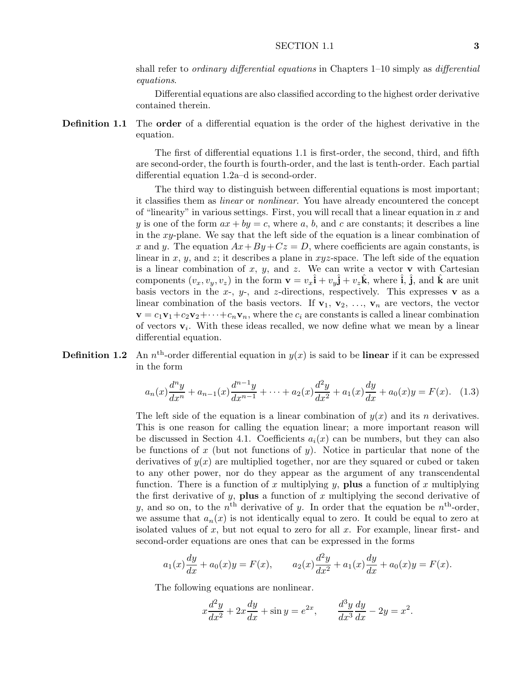shall refer to *ordinary differential equations* in Chapters 1–10 simply as *differential equations*.

Differential equations are also classified according to the highest order derivative contained therein.

**Definition 1.1** The **order** of a differential equation is the order of the highest derivative in the equation.

> The first of differential equations 1.1 is first-order, the second, third, and fifth are second-order, the fourth is fourth-order, and the last is tenth-order. Each partial differential equation 1.2a–d is second-order.

> The third way to distinguish between differential equations is most important; it classifies them as *linear* or *nonlinear*. You have already encountered the concept of "linearity" in various settings. First, you will recall that a linear equation in *x* and *y* is one of the form  $ax + by = c$ , where *a*, *b*, and *c* are constants; it describes a line in the *xy*-plane. We say that the left side of the equation is a linear combination of *x* and *y*. The equation  $Ax + By + Cz = D$ , where coefficients are again constants, is linear in *x*, *y*, and *z*; it describes a plane in *xyz*-space. The left side of the equation is a linear combination of  $x$ ,  $y$ , and  $z$ . We can write a vector **v** with Cartesian components  $(v_x, v_y, v_z)$  in the form  $\mathbf{v} = v_x \hat{\mathbf{i}} + v_y \hat{\mathbf{j}} + v_z \hat{\mathbf{k}}$ , where  $\hat{\mathbf{i}}$ ,  $\hat{\mathbf{j}}$ , and  $\hat{\mathbf{k}}$  are unit basis vectors in the  $x$ -,  $y$ -, and  $z$ -directions, respectively. This expresses **v** as a linear combination of the basis vectors. If  $\mathbf{v}_1, \mathbf{v}_2, \ldots, \mathbf{v}_n$  are vectors, the vector  $\mathbf{v} = c_1 \mathbf{v}_1 + c_2 \mathbf{v}_2 + \cdots + c_n \mathbf{v}_n$ , where the  $c_i$  are constants is called a linear combination of vectors  $\mathbf{v}_i$ . With these ideas recalled, we now define what we mean by a linear differential equation.

## **Definition 1.2** An  $n^{\text{th}}$ -order differential equation in  $y(x)$  is said to be **linear** if it can be expressed in the form

$$
a_n(x)\frac{d^n y}{dx^n} + a_{n-1}(x)\frac{d^{n-1} y}{dx^{n-1}} + \dots + a_2(x)\frac{d^2 y}{dx^2} + a_1(x)\frac{dy}{dx} + a_0(x)y = F(x). \tag{1.3}
$$

The left side of the equation is a linear combination of  $y(x)$  and its *n* derivatives. This is one reason for calling the equation linear; a more important reason will be discussed in Section 4.1. Coefficients  $a_i(x)$  can be numbers, but they can also be functions of *x* (but not functions of *y*). Notice in particular that none of the derivatives of  $y(x)$  are multiplied together, nor are they squared or cubed or taken to any other power, nor do they appear as the argument of any transcendental function. There is a function of *x* multiplying *y*, **plus** a function of *x* multiplying the first derivative of  $y$ , **plus** a function of  $x$  multiplying the second derivative of *y*, and so on, to the  $n<sup>th</sup>$  derivative of *y*. In order that the equation be  $n<sup>th</sup>$ -order, we assume that  $a_n(x)$  is not identically equal to zero. It could be equal to zero at isolated values of *x*, but not equal to zero for all *x*. For example, linear first- and second-order equations are ones that can be expressed in the forms

$$
a_1(x)\frac{dy}{dx} + a_0(x)y = F(x),
$$
  $a_2(x)\frac{d^2y}{dx^2} + a_1(x)\frac{dy}{dx} + a_0(x)y = F(x).$ 

The following equations are nonlinear.

$$
x\frac{d^2y}{dx^2} + 2x\frac{dy}{dx} + \sin y = e^{2x}, \qquad \frac{d^3y}{dx^3}\frac{dy}{dx} - 2y = x^2.
$$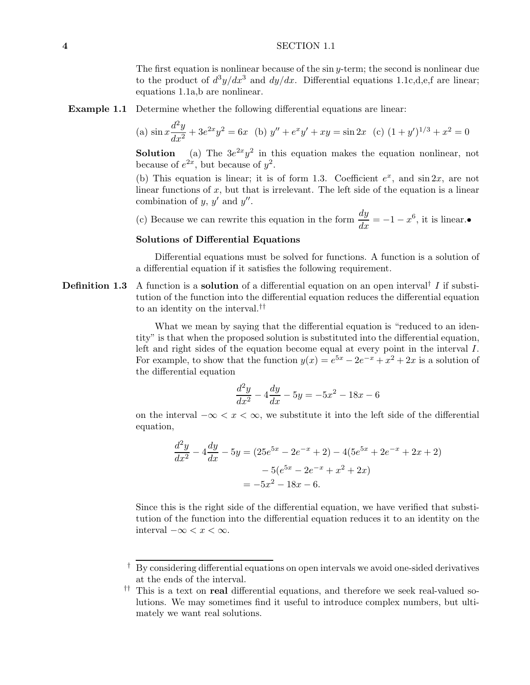#### **4** SECTION 1.1

The first equation is nonlinear because of the sin *y*-term; the second is nonlinear due to the product of  $d^3y/dx^3$  and  $dy/dx$ . Differential equations 1.1c,d,e,f are linear; equations 1.1a,b are nonlinear.

**Example 1.1** Determine whether the following differential equations are linear:

(a) 
$$
\sin x \frac{d^2 y}{dx^2} + 3e^{2x}y^2 = 6x
$$
 (b)  $y'' + e^x y' + xy = \sin 2x$  (c)  $(1 + y')^{1/3} + x^2 = 0$ 

**Solution** (a) The  $3e^{2x}y^2$  in this equation makes the equation nonlinear, not because of  $e^{2x}$ , but because of  $y^2$ .

(b) This equation is linear; it is of form 1.3. Coefficient  $e^x$ , and  $\sin 2x$ , are not linear functions of *x*, but that is irrelevant. The left side of the equation is a linear combination of  $y, y'$  and  $y''$ .

(c) Because we can rewrite this equation in the form  $\frac{dy}{dx} = -1 - x^6$ , it is linear.•

#### **Solutions of Differential Equations**

Differential equations must be solved for functions. A function is a solution of a differential equation if it satisfies the following requirement.

**Definition 1.3** A function is a **solution** of a differential equation on an open interval<sup>†</sup> I if substitution of the function into the differential equation reduces the differential equation to an identity on the interval.††

> What we mean by saying that the differential equation is "reduced to an identity" is that when the proposed solution is substituted into the differential equation, left and right sides of the equation become equal at every point in the interval *I*. For example, to show that the function  $y(x) = e^{5x} - 2e^{-x} + x^2 + 2x$  is a solution of the differential equation

$$
\frac{d^2y}{dx^2} - 4\frac{dy}{dx} - 5y = -5x^2 - 18x - 6
$$

on the interval  $-\infty < x < \infty$ , we substitute it into the left side of the differential equation,

$$
\frac{d^2y}{dx^2} - 4\frac{dy}{dx} - 5y = (25e^{5x} - 2e^{-x} + 2) - 4(5e^{5x} + 2e^{-x} + 2x + 2)
$$

$$
-5(e^{5x} - 2e^{-x} + x^2 + 2x)
$$

$$
= -5x^2 - 18x - 6.
$$

Since this is the right side of the differential equation, we have verified that substitution of the function into the differential equation reduces it to an identity on the interval  $-\infty < x < \infty$ .

<sup>†</sup> By considering differential equations on open intervals we avoid one-sided derivatives at the ends of the interval.

<sup>††</sup> This is a text on **real** differential equations, and therefore we seek real-valued solutions. We may sometimes find it useful to introduce complex numbers, but ultimately we want real solutions.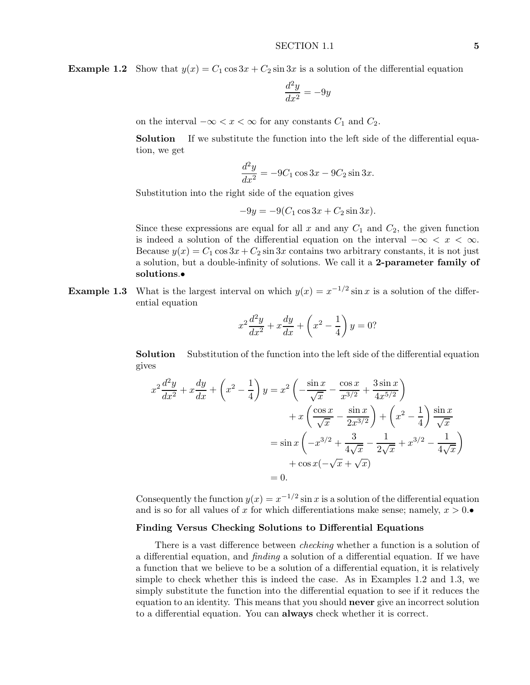**Example 1.2** Show that  $y(x) = C_1 \cos 3x + C_2 \sin 3x$  is a solution of the differential equation

$$
\frac{d^2y}{dx^2} = -9y
$$

on the interval  $-\infty < x < \infty$  for any constants  $C_1$  and  $C_2$ .

**Solution** If we substitute the function into the left side of the differential equation, we get

$$
\frac{d^2y}{dx^2} = -9C_1 \cos 3x - 9C_2 \sin 3x.
$$

Substitution into the right side of the equation gives

$$
-9y = -9(C_1 \cos 3x + C_2 \sin 3x).
$$

Since these expressions are equal for all  $x$  and any  $C_1$  and  $C_2$ , the given function is indeed a solution of the differential equation on the interval  $-\infty < x < \infty$ . Because  $y(x) = C_1 \cos 3x + C_2 \sin 3x$  contains two arbitrary constants, it is not just a solution, but a double-infinity of solutions. We call it a **2-parameter family of solutions**.•

**Example 1.3** What is the largest interval on which  $y(x) = x^{-1/2} \sin x$  is a solution of the differential equation

$$
x^{2} \frac{d^{2} y}{dx^{2}} + x \frac{dy}{dx} + \left(x^{2} - \frac{1}{4}\right)y = 0?
$$

**Solution** Substitution of the function into the left side of the differential equation gives

$$
x^{2} \frac{d^{2}y}{dx^{2}} + x \frac{dy}{dx} + \left(x^{2} - \frac{1}{4}\right)y = x^{2} \left(-\frac{\sin x}{\sqrt{x}} - \frac{\cos x}{x^{3/2}} + \frac{3\sin x}{4x^{5/2}}\right) + x \left(\frac{\cos x}{\sqrt{x}} - \frac{\sin x}{2x^{3/2}}\right) + \left(x^{2} - \frac{1}{4}\right) \frac{\sin x}{\sqrt{x}} = \sin x \left(-x^{3/2} + \frac{3}{4\sqrt{x}} - \frac{1}{2\sqrt{x}} + x^{3/2} - \frac{1}{4\sqrt{x}}\right) + \cos x (-\sqrt{x} + \sqrt{x}) = 0.
$$

Consequently the function  $y(x) = x^{-1/2} \sin x$  is a solution of the differential equation and is so for all values of x for which differentiations make sense; namely,  $x > 0$ .

## **Finding Versus Checking Solutions to Differential Equations**

There is a vast difference between *checking* whether a function is a solution of a differential equation, and *finding* a solution of a differential equation. If we have a function that we believe to be a solution of a differential equation, it is relatively simple to check whether this is indeed the case. As in Examples 1.2 and 1.3, we simply substitute the function into the differential equation to see if it reduces the equation to an identity. This means that you should **never** give an incorrect solution to a differential equation. You can **always** check whether it is correct.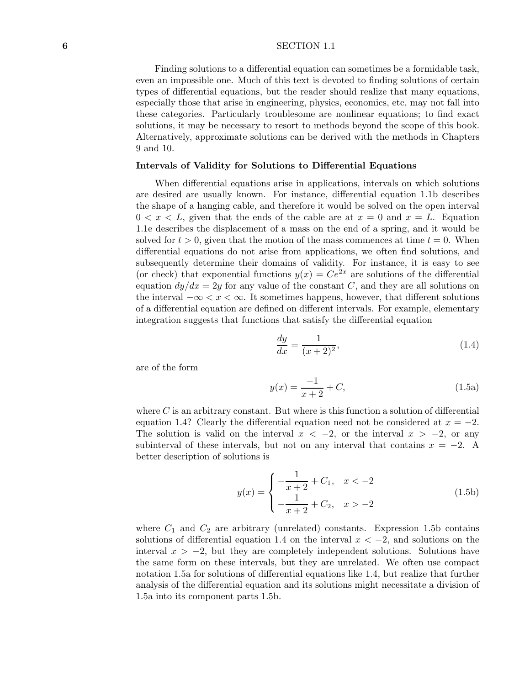#### **6** SECTION 1.1

Finding solutions to a differential equation can sometimes be a formidable task, even an impossible one. Much of this text is devoted to finding solutions of certain types of differential equations, but the reader should realize that many equations, especially those that arise in engineering, physics, economics, etc, may not fall into these categories. Particularly troublesome are nonlinear equations; to find exact solutions, it may be necessary to resort to methods beyond the scope of this book. Alternatively, approximate solutions can be derived with the methods in Chapters 9 and 10.

#### **Intervals of Validity for Solutions to Differential Equations**

When differential equations arise in applications, intervals on which solutions are desired are usually known. For instance, differential equation 1.1b describes the shape of a hanging cable, and therefore it would be solved on the open interval  $0 < x < L$ , given that the ends of the cable are at  $x = 0$  and  $x = L$ . Equation 1.1e describes the displacement of a mass on the end of a spring, and it would be solved for  $t > 0$ , given that the motion of the mass commences at time  $t = 0$ . When differential equations do not arise from applications, we often find solutions, and subsequently determine their domains of validity. For instance, it is easy to see (or check) that exponential functions  $y(x) = Ce^{2x}$  are solutions of the differential equation  $dy/dx = 2y$  for any value of the constant *C*, and they are all solutions on the interval  $-\infty < x < \infty$ . It sometimes happens, however, that different solutions of a differential equation are defined on different intervals. For example, elementary integration suggests that functions that satisfy the differential equation

$$
\frac{dy}{dx} = \frac{1}{(x+2)^2},\tag{1.4}
$$

are of the form

$$
y(x) = \frac{-1}{x+2} + C,\tag{1.5a}
$$

where *C* is an arbitrary constant. But where is this function a solution of differential equation 1.4? Clearly the differential equation need not be considered at  $x = -2$ . The solution is valid on the interval  $x < -2$ , or the interval  $x > -2$ , or any subinterval of these intervals, but not on any interval that contains  $x = -2$ . A better description of solutions is

$$
y(x) = \begin{cases} -\frac{1}{x+2} + C_1, & x < -2\\ -\frac{1}{x+2} + C_2, & x > -2 \end{cases}
$$
(1.5b)

where  $C_1$  and  $C_2$  are arbitrary (unrelated) constants. Expression 1.5b contains solutions of differential equation 1.4 on the interval *x <* −2, and solutions on the interval  $x > -2$ , but they are completely independent solutions. Solutions have the same form on these intervals, but they are unrelated. We often use compact notation 1.5a for solutions of differential equations like 1.4, but realize that further analysis of the differential equation and its solutions might necessitate a division of 1.5a into its component parts 1.5b.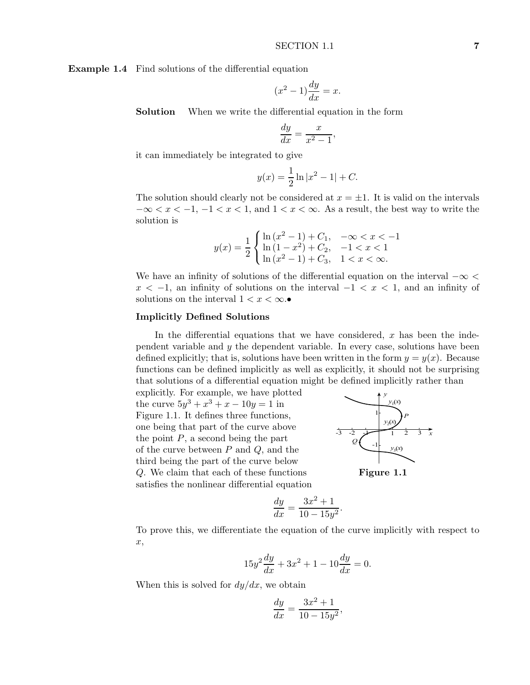**Example 1.4** Find solutions of the differential equation

$$
(x^2 - 1)\frac{dy}{dx} = x.
$$

**Solution** When we write the differential equation in the form

$$
\frac{dy}{dx} = \frac{x}{x^2 - 1},
$$

it can immediately be integrated to give

$$
y(x) = \frac{1}{2} \ln |x^2 - 1| + C.
$$

The solution should clearly not be considered at  $x = \pm 1$ . It is valid on the intervals  $-\infty < x < -1, -1 < x < 1$ , and  $1 < x < \infty$ . As a result, the best way to write the solution is

$$
y(x) = \frac{1}{2} \begin{cases} \ln(x^2 - 1) + C_1, & -\infty < x < -1 \\ \ln(1 - x^2) + C_2, & -1 < x < 1 \\ \ln(x^2 - 1) + C_3, & 1 < x < \infty. \end{cases}
$$

We have an infinity of solutions of the differential equation on the interval −∞ *<*  $x < -1$ , an infinity of solutions on the interval  $-1 < x < 1$ , and an infinity of solutions on the interval  $1 < x < \infty$ .•

#### **Implicitly Defined Solutions**

In the differential equations that we have considered, *x* has been the independent variable and *y* the dependent variable. In every case, solutions have been defined explicitly; that is, solutions have been written in the form  $y = y(x)$ . Because functions can be defined implicitly as well as explicitly, it should not be surprising that solutions of a differential equation might be defined implicitly rather than

explicitly. For example, we have plotted the curve  $5y^3 + x^3 + x - 10y = 1$  in Figure 1.1. It defines three functions, one being that part of the curve above the point  $P$ , a second being the part of the curve between *P* and *Q*, and the third being the part of the curve below *Q*. We claim that each of these functions **Figure 1.1** satisfies the nonlinear differential equation



$$
\frac{dy}{dx} = \frac{3x^2 + 1}{10 - 15y^2}.
$$

To prove this, we differentiate the equation of the curve implicitly with respect to *x*,

$$
15y^2\frac{dy}{dx} + 3x^2 + 1 - 10\frac{dy}{dx} = 0.
$$

When this is solved for *dy/dx*, we obtain

$$
\frac{dy}{dx} = \frac{3x^2 + 1}{10 - 15y^2},
$$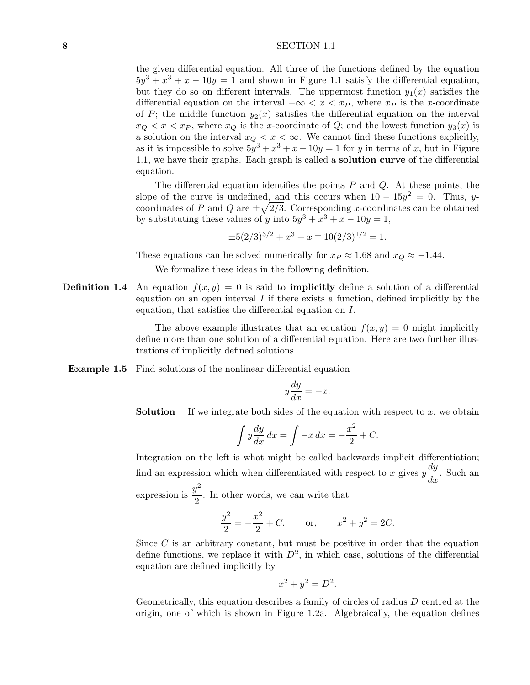#### **8** SECTION 1.1

the given differential equation. All three of the functions defined by the equation  $5y^3 + x^3 + x - 10y = 1$  and shown in Figure 1.1 satisfy the differential equation, but they do so on different intervals. The uppermost function  $y_1(x)$  satisfies the differential equation on the interval  $-\infty < x < x_P$ , where  $x_P$  is the *x*-coordinate of *P*; the middle function  $y_2(x)$  satisfies the differential equation on the interval  $x_Q < x < x_P$ , where  $x_Q$  is the *x*-coordinate of *Q*; and the lowest function  $y_3(x)$  is a solution on the interval  $x_Q < x < \infty$ . We cannot find these functions explicitly, as it is impossible to solve  $5y^3 + x^3 + x - 10y = 1$  for *y* in terms of *x*, but in Figure 1.1, we have their graphs. Each graph is called a **solution curve** of the differential equation.

The differential equation identifies the points *P* and *Q*. At these points, the slope of the curve is undefined, and this occurs when  $10 - 15y^2 = 0$ . Thus, *y*coordinates of *P* and *Q* are  $\pm \sqrt{2/3}$ . Corresponding *x*-coordinates can be obtained by substituting these values of *y* into  $5y^3 + x^3 + x - 10y = 1$ ,

$$
\pm 5(2/3)^{3/2} + x^3 + x \mp 10(2/3)^{1/2} = 1.
$$

These equations can be solved numerically for  $x_P \approx 1.68$  and  $x_Q \approx -1.44$ .

We formalize these ideas in the following definition.

**Definition 1.4** An equation  $f(x, y) = 0$  is said to **implicitly** define a solution of a differential equation on an open interval *I* if there exists a function, defined implicitly by the equation, that satisfies the differential equation on *I*.

> The above example illustrates that an equation  $f(x, y) = 0$  might implicitly define more than one solution of a differential equation. Here are two further illustrations of implicitly defined solutions.

**Example 1.5** Find solutions of the nonlinear differential equation

$$
y\frac{dy}{dx} = -x.
$$

**Solution** If we integrate both sides of the equation with respect to x, we obtain

$$
\int y \frac{dy}{dx} dx = \int -x dx = -\frac{x^2}{2} + C.
$$

Integration on the left is what might be called backwards implicit differentiation; find an expression which when differentiated with respect to *x* gives  $y\frac{dy}{dx}$ . Such an expression is  $\frac{y^2}{2}$ . In other words, we can write that

$$
\frac{y^2}{2} = -\frac{x^2}{2} + C, \quad \text{or,} \quad x^2 + y^2 = 2C.
$$

Since *C* is an arbitrary constant, but must be positive in order that the equation define functions, we replace it with  $D^2$ , in which case, solutions of the differential equation are defined implicitly by

$$
x^2 + y^2 = D^2.
$$

Geometrically, this equation describes a family of circles of radius *D* centred at the origin, one of which is shown in Figure 1.2a. Algebraically, the equation defines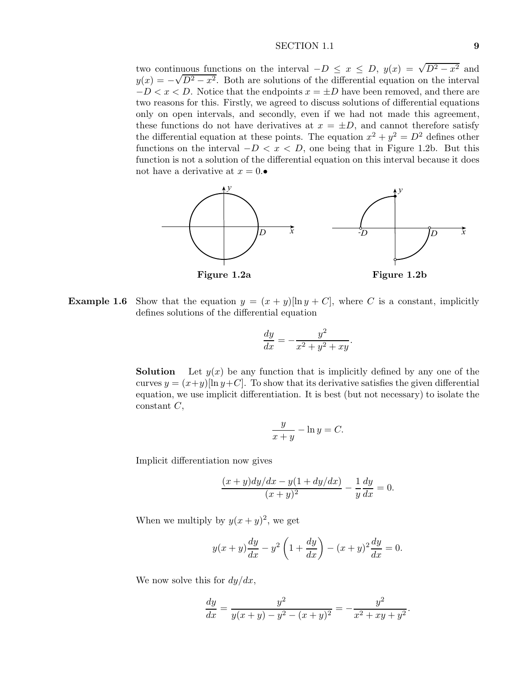#### SECTION 1.1 **9**

two continuous functions on the interval  $-D \leq x \leq D$ ,  $y(x) = \sqrt{D^2 - x^2}$  and  $y(x) = -\sqrt{D^2 - x^2}$ . Both are solutions of the differential equation on the interval  $-D < x < D$ . Notice that the endpoints  $x = \pm D$  have been removed, and there are two reasons for this. Firstly, we agreed to discuss solutions of differential equations only on open intervals, and secondly, even if we had not made this agreement, these functions do not have derivatives at  $x = \pm D$ , and cannot therefore satisfy the differential equation at these points. The equation  $x^2 + y^2 = D^2$  defines other functions on the interval  $-D < x < D$ , one being that in Figure 1.2b. But this function is not a solution of the differential equation on this interval because it does not have a derivative at  $x = 0$ .



**Example 1.6** Show that the equation  $y = (x + y)[\ln y + C]$ , where *C* is a constant, implicitly defines solutions of the differential equation

$$
\frac{dy}{dx} = -\frac{y^2}{x^2 + y^2 + xy}.
$$

**Solution** Let  $y(x)$  be any function that is implicitly defined by any one of the curves  $y = (x+y)[\ln y+C]$ . To show that its derivative satisfies the given differential equation, we use implicit differentiation. It is best (but not necessary) to isolate the constant *C*,

$$
\frac{y}{x+y} - \ln y = C.
$$

Implicit differentiation now gives

$$
\frac{(x+y)dy/dx - y(1+dy/dx)}{(x+y)^2} - \frac{1}{y}\frac{dy}{dx} = 0.
$$

When we multiply by  $y(x+y)^2$ , we get

$$
y(x+y)\frac{dy}{dx} - y^2\left(1 + \frac{dy}{dx}\right) - (x+y)^2\frac{dy}{dx} = 0.
$$

We now solve this for *dy/dx*,

$$
\frac{dy}{dx} = \frac{y^2}{y(x+y) - y^2 - (x+y)^2} = -\frac{y^2}{x^2 + xy + y^2}.
$$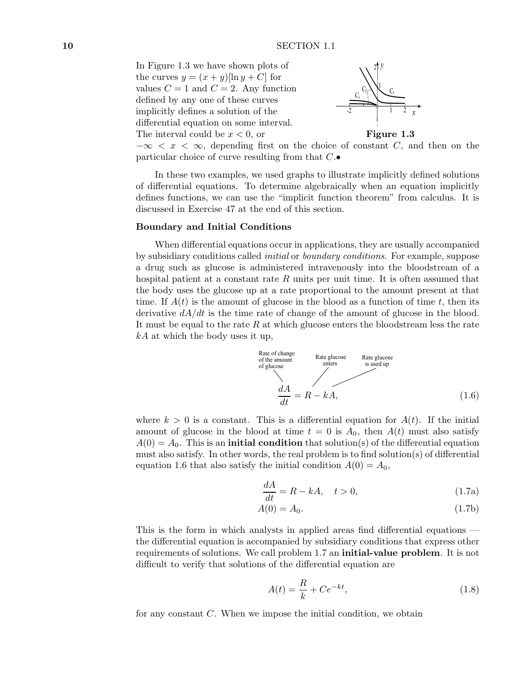In Figure 1.3 we have shown plots of the curves  $y = (x + y)[\ln y + C]$  for values  $C = 1$  and  $C = 2$ . Any function defined by any one of these curves implicitly defines a solution of the differential equation on some interval.





 $-\infty < x < \infty$ , depending first on the choice of constant *C*, and then on the particular choice of curve resulting from that *C*.•

In these two examples, we used graphs to illustrate implicitly defined solutions of differential equations. To determine algebraically when an equation implicitly defines functions, we can use the "implicit function theorem" from calculus. It is discussed in Exercise 47 at the end of this section.

#### **Boundary and Initial Conditions**

When differential equations occur in applications, they are usually accompanied by subsidiary conditions called *initial* or *boundary conditions*. For example, suppose a drug such as glucose is administered intravenously into the bloodstream of a hospital patient at a constant rate R units per unit time. It is often assumed that the body uses the glucose up at a rate proportional to the amount present at that time. If  $A(t)$  is the amount of glucose in the blood as a function of time t, then its derivative  $dA/dt$  is the time rate of change of the amount of glucose in the blood. It must be equal to the rate *R* at which glucose enters the bloodstream less the rate *kA* at which the body uses it up,



where  $k > 0$  is a constant. This is a differential equation for  $A(t)$ . If the initial amount of glucose in the blood at time  $t = 0$  is  $A_0$ , then  $A(t)$  must also satisfy  $A(0) = A_0$ . This is an **initial condition** that solution(s) of the differential equation must also satisfy. In other words, the real problem is to find solution(s) of differential equation 1.6 that also satisfy the initial condition  $A(0) = A_0$ ,

$$
\frac{dA}{dt} = R - kA, \quad t > 0,\tag{1.7a}
$$

$$
A(0) = A_0. \tag{1.7b}
$$

This is the form in which analysts in applied areas find differential equations the differential equation is accompanied by subsidiary conditions that express other requirements of solutions. We call problem 1.7 an **initial-value problem**. It is not difficult to verify that solutions of the differential equation are

$$
A(t) = \frac{R}{k} + Ce^{-kt},\tag{1.8}
$$

for any constant *C*. When we impose the initial condition, we obtain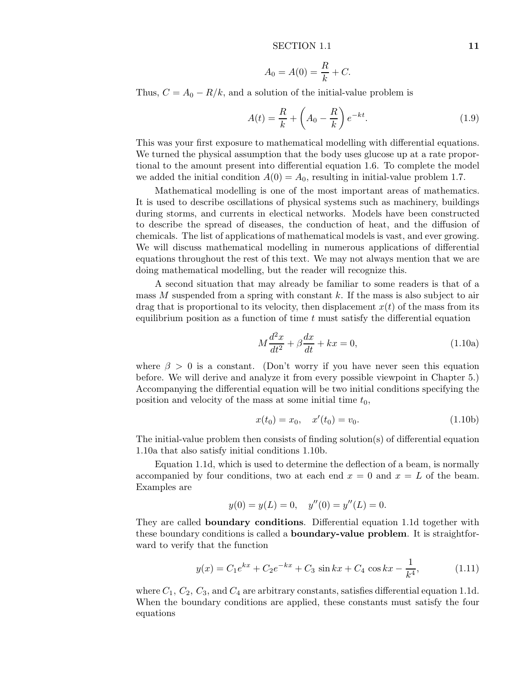$$
A_0 = A(0) = \frac{R}{k} + C.
$$

Thus,  $C = A_0 - R/k$ , and a solution of the initial-value problem is

$$
A(t) = \frac{R}{k} + \left(A_0 - \frac{R}{k}\right)e^{-kt}.\tag{1.9}
$$

This was your first exposure to mathematical modelling with differential equations. We turned the physical assumption that the body uses glucose up at a rate proportional to the amount present into differential equation 1.6. To complete the model we added the initial condition  $A(0) = A_0$ , resulting in initial-value problem 1.7.

Mathematical modelling is one of the most important areas of mathematics. It is used to describe oscillations of physical systems such as machinery, buildings during storms, and currents in electical networks. Models have been constructed to describe the spread of diseases, the conduction of heat, and the diffusion of chemicals. The list of applications of mathematical models is vast, and ever growing. We will discuss mathematical modelling in numerous applications of differential equations throughout the rest of this text. We may not always mention that we are doing mathematical modelling, but the reader will recognize this.

A second situation that may already be familiar to some readers is that of a mass *M* suspended from a spring with constant *k*. If the mass is also subject to air drag that is proportional to its velocity, then displacement  $x(t)$  of the mass from its equilibrium position as a function of time *t* must satisfy the differential equation

$$
M\frac{d^2x}{dt^2} + \beta \frac{dx}{dt} + kx = 0,
$$
\n(1.10a)

where  $\beta > 0$  is a constant. (Don't worry if you have never seen this equation before. We will derive and analyze it from every possible viewpoint in Chapter 5.) Accompanying the differential equation will be two initial conditions specifying the position and velocity of the mass at some initial time  $t_0$ ,

$$
x(t_0) = x_0, \quad x'(t_0) = v_0. \tag{1.10b}
$$

The initial-value problem then consists of finding solution(s) of differential equation 1.10a that also satisfy initial conditions 1.10b.

Equation 1.1d, which is used to determine the deflection of a beam, is normally accompanied by four conditions, two at each end  $x = 0$  and  $x = L$  of the beam. Examples are

$$
y(0) = y(L) = 0, \quad y''(0) = y''(L) = 0.
$$

They are called **boundary conditions**. Differential equation 1.1d together with these boundary conditions is called a **boundary-value problem**. It is straightforward to verify that the function

$$
y(x) = C_1 e^{kx} + C_2 e^{-kx} + C_3 \sin kx + C_4 \cos kx - \frac{1}{k^4},
$$
 (1.11)

where  $C_1$ ,  $C_2$ ,  $C_3$ , and  $C_4$  are arbitrary constants, satisfies differential equation 1.1d. When the boundary conditions are applied, these constants must satisfy the four equations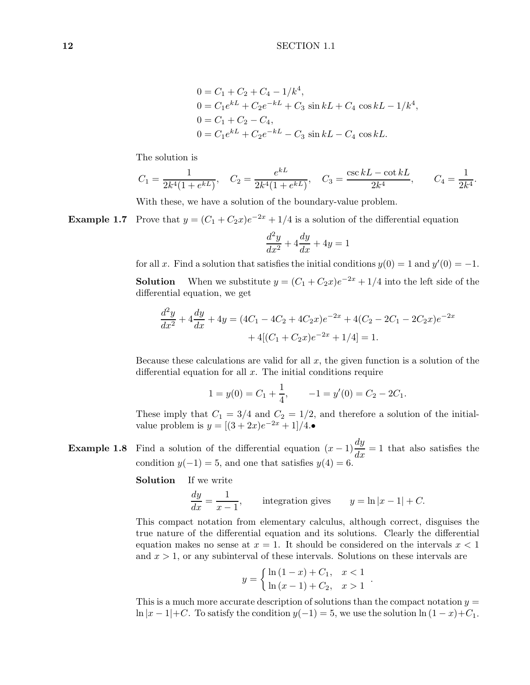$$
0 = C_1 + C_2 + C_4 - 1/k^4,
$$
  
\n
$$
0 = C_1 e^{kL} + C_2 e^{-kL} + C_3 \sin kL + C_4 \cos kL - 1/k^4,
$$
  
\n
$$
0 = C_1 + C_2 - C_4,
$$
  
\n
$$
0 = C_1 e^{kL} + C_2 e^{-kL} - C_3 \sin kL - C_4 \cos kL.
$$

The solution is

$$
C_1 = \frac{1}{2k^4(1 + e^{kL})}
$$
,  $C_2 = \frac{e^{kL}}{2k^4(1 + e^{kL})}$ ,  $C_3 = \frac{\csc kL - \cot kL}{2k^4}$ ,  $C_4 = \frac{1}{2k^4}$ .

With these, we have a solution of the boundary-value problem.

**Example 1.7** Prove that  $y = (C_1 + C_2x)e^{-2x} + 1/4$  is a solution of the differential equation

$$
\frac{d^2y}{dx^2} + 4\frac{dy}{dx} + 4y = 1
$$

for all *x*. Find a solution that satisfies the initial conditions  $y(0) = 1$  and  $y'(0) = -1$ . **Solution** When we substitute  $y = (C_1 + C_2x)e^{-2x} + 1/4$  into the left side of the

$$
\frac{d^2y}{dx^2} + 4\frac{dy}{dx} + 4y = (4C_1 - 4C_2 + 4C_2x)e^{-2x} + 4(C_2 - 2C_1 - 2C_2x)e^{-2x} + 4[(C_1 + C_2x)e^{-2x} + 1/4] = 1.
$$

Because these calculations are valid for all *x*, the given function is a solution of the differential equation for all *x*. The initial conditions require

$$
1 = y(0) = C_1 + \frac{1}{4}, \qquad -1 = y'(0) = C_2 - 2C_1.
$$

These imply that  $C_1 = 3/4$  and  $C_2 = 1/2$ , and therefore a solution of the initialvalue problem is  $y = [(3 + 2x)e^{-2x} + 1]/4$ .•

**Example 1.8** Find a solution of the differential equation  $(x-1)\frac{dy}{dx} = 1$  that also satisfies the condition  $y(-1) = 5$ , and one that satisfies  $y(4) = 6$ .

**Solution** If we write

differential equation, we get

$$
\frac{dy}{dx} = \frac{1}{x-1},
$$
 integration gives  $y = \ln|x-1| + C.$ 

This compact notation from elementary calculus, although correct, disguises the true nature of the differential equation and its solutions. Clearly the differential equation makes no sense at  $x = 1$ . It should be considered on the intervals  $x < 1$ and *x >* 1, or any subinterval of these intervals. Solutions on these intervals are

$$
y = \begin{cases} \ln(1-x) + C_1, & x < 1 \\ \ln(x-1) + C_2, & x > 1 \end{cases}.
$$

This is a much more accurate description of solutions than the compact notation *y* = ln  $|x-1|$ +*C*. To satisfy the condition  $y(-1) = 5$ , we use the solution ln  $(1 - x)$ +*C*<sub>1</sub>.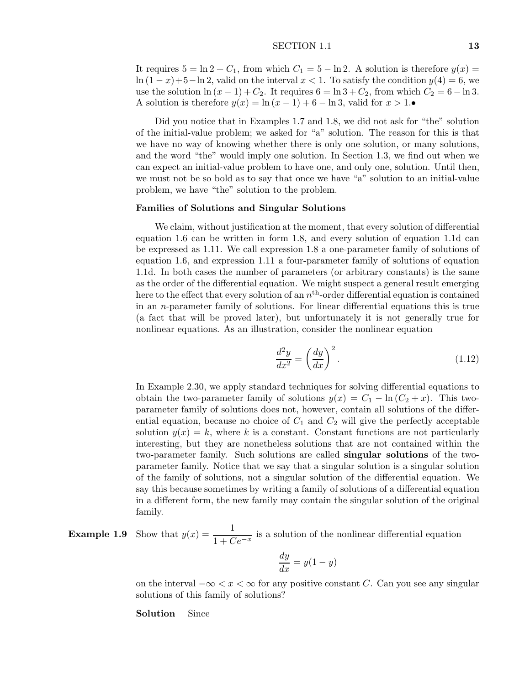#### SECTION 1.1 **13**

It requires  $5 = \ln 2 + C_1$ , from which  $C_1 = 5 - \ln 2$ . A solution is therefore  $y(x) =$ ln  $(1-x)+5$ –ln 2, valid on the interval  $x < 1$ . To satisfy the condition  $y(4) = 6$ , we use the solution  $\ln(x-1) + C_2$ . It requires  $6 = \ln 3 + C_2$ , from which  $C_2 = 6 - \ln 3$ . A solution is therefore  $y(x) = \ln(x-1) + 6 - \ln 3$ , valid for  $x > 1$ .•

Did you notice that in Examples 1.7 and 1.8, we did not ask for "the" solution of the initial-value problem; we asked for "a" solution. The reason for this is that we have no way of knowing whether there is only one solution, or many solutions, and the word "the" would imply one solution. In Section 1.3, we find out when we can expect an initial-value problem to have one, and only one, solution. Until then, we must not be so bold as to say that once we have "a" solution to an initial-value problem, we have "the" solution to the problem.

## **Families of Solutions and Singular Solutions**

We claim, without justification at the moment, that every solution of differential equation 1.6 can be written in form 1.8, and every solution of equation 1.1d can be expressed as 1.11. We call expression 1.8 a one-parameter family of solutions of equation 1.6, and expression 1.11 a four-parameter family of solutions of equation 1.1d. In both cases the number of parameters (or arbitrary constants) is the same as the order of the differential equation. We might suspect a general result emerging here to the effect that every solution of an  $n<sup>th</sup>$ -order differential equation is contained in an *n*-parameter family of solutions. For linear differential equations this is true (a fact that will be proved later), but unfortunately it is not generally true for nonlinear equations. As an illustration, consider the nonlinear equation

$$
\frac{d^2y}{dx^2} = \left(\frac{dy}{dx}\right)^2.
$$
\n(1.12)

In Example 2.30, we apply standard techniques for solving differential equations to obtain the two-parameter family of solutions  $y(x) = C_1 - \ln(C_2 + x)$ . This twoparameter family of solutions does not, however, contain all solutions of the differential equation, because no choice of  $C_1$  and  $C_2$  will give the perfectly acceptable solution  $y(x) = k$ , where k is a constant. Constant functions are not particularly interesting, but they are nonetheless solutions that are not contained within the two-parameter family. Such solutions are called **singular solutions** of the twoparameter family. Notice that we say that a singular solution is a singular solution of the family of solutions, not a singular solution of the differential equation. We say this because sometimes by writing a family of solutions of a differential equation in a different form, the new family may contain the singular solution of the original family.

**Example 1.9** Show that  $y(x) = \frac{1}{1 + Ce^{-x}}$  is a solution of the nonlinear differential equation

$$
\frac{dy}{dx} = y(1 - y)
$$

on the interval  $-\infty < x < \infty$  for any positive constant *C*. Can you see any singular solutions of this family of solutions?

#### **Solution** Since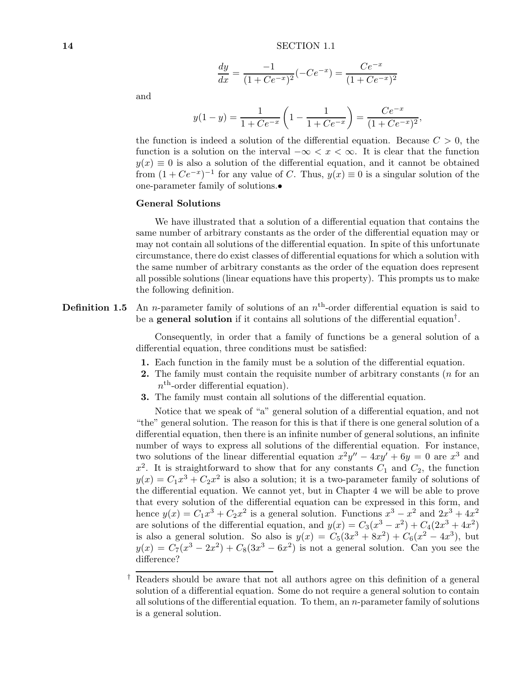$$
\frac{dy}{dx} = \frac{-1}{(1 + Ce^{-x})^2}(-Ce^{-x}) = \frac{Ce^{-x}}{(1 + Ce^{-x})^2}
$$

and

$$
y(1-y) = \frac{1}{1 + Ce^{-x}} \left( 1 - \frac{1}{1 + Ce^{-x}} \right) = \frac{Ce^{-x}}{(1 + Ce^{-x})^2},
$$

the function is indeed a solution of the differential equation. Because  $C > 0$ , the function is a solution on the interval  $-\infty < x < \infty$ . It is clear that the function  $y(x) \equiv 0$  is also a solution of the differential equation, and it cannot be obtained from  $(1 + Ce^{-x})^{-1}$  for any value of *C*. Thus,  $y(x) \equiv 0$  is a singular solution of the one-parameter family of solutions.•

## **General Solutions**

We have illustrated that a solution of a differential equation that contains the same number of arbitrary constants as the order of the differential equation may or may not contain all solutions of the differential equation. In spite of this unfortunate circumstance, there do exist classes of differential equations for which a solution with the same number of arbitrary constants as the order of the equation does represent all possible solutions (linear equations have this property). This prompts us to make the following definition.

**Definition 1.5** An *n*-parameter family of solutions of an  $n<sup>th</sup>$ -order differential equation is said to be a **general solution** if it contains all solutions of the differential equation†.

> Consequently, in order that a family of functions be a general solution of a differential equation, three conditions must be satisfied:

- **1.** Each function in the family must be a solution of the differential equation.
- **2.** The family must contain the requisite number of arbitrary constants (*n* for an  $n<sup>th</sup>$ -order differential equation).
- **3.** The family must contain all solutions of the differential equation.

Notice that we speak of "a" general solution of a differential equation, and not "the" general solution. The reason for this is that if there is one general solution of a differential equation, then there is an infinite number of general solutions, an infinite number of ways to express all solutions of the differential equation. For instance, two solutions of the linear differential equation  $x^2y'' - 4xy' + 6y = 0$  are  $x^3$  and  $x^2$ . It is straightforward to show that for any constants  $C_1$  and  $C_2$ , the function  $y(x) = C_1 x^3 + C_2 x^2$  is also a solution; it is a two-parameter family of solutions of the differential equation. We cannot yet, but in Chapter 4 we will be able to prove that every solution of the differential equation can be expressed in this form, and hence  $y(x) = C_1 x^3 + C_2 x^2$  is a general solution. Functions  $x^3 - x^2$  and  $2x^3 + 4x^2$ are solutions of the differential equation, and  $y(x) = C_3(x^3 - x^2) + C_4(2x^3 + 4x^2)$ is also a general solution. So also is  $y(x) = C_5(3x^3 + 8x^2) + C_6(x^2 - 4x^3)$ , but  $y(x) = C_7(x^3 - 2x^2) + C_8(3x^3 - 6x^2)$  is not a general solution. Can you see the difference?

<sup>†</sup> Readers should be aware that not all authors agree on this definition of a general solution of a differential equation. Some do not require a general solution to contain all solutions of the differential equation. To them, an *n*-parameter family of solutions is a general solution.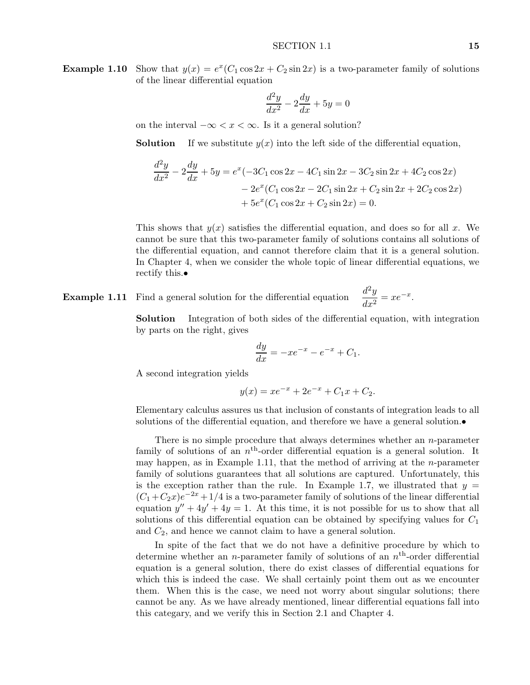**Example 1.10** Show that  $y(x) = e^x(C_1 \cos 2x + C_2 \sin 2x)$  is a two-parameter family of solutions of the linear differential equation

$$
\frac{d^2y}{dx^2} - 2\frac{dy}{dx} + 5y = 0
$$

on the interval  $-\infty < x < \infty$ . Is it a general solution?

**Solution** If we substitute  $y(x)$  into the left side of the differential equation,

$$
\frac{d^2y}{dx^2} - 2\frac{dy}{dx} + 5y = e^x(-3C_1\cos 2x - 4C_1\sin 2x - 3C_2\sin 2x + 4C_2\cos 2x) \n- 2e^x(C_1\cos 2x - 2C_1\sin 2x + C_2\sin 2x + 2C_2\cos 2x) \n+ 5e^x(C_1\cos 2x + C_2\sin 2x) = 0.
$$

This shows that  $y(x)$  satisfies the differential equation, and does so for all x. We cannot be sure that this two-parameter family of solutions contains all solutions of the differential equation, and cannot therefore claim that it is a general solution. In Chapter 4, when we consider the whole topic of linear differential equations, we rectify this.•

**Example 1.11** Find a general solution for the differential equation  $\frac{d^2y}{dx^2} = xe^{-x}$ .

**Solution** Integration of both sides of the differential equation, with integration by parts on the right, gives

$$
\frac{dy}{dx} = -xe^{-x} - e^{-x} + C_1.
$$

A second integration yields

$$
y(x) = xe^{-x} + 2e^{-x} + C_1x + C_2.
$$

Elementary calculus assures us that inclusion of constants of integration leads to all solutions of the differential equation, and therefore we have a general solution.

There is no simple procedure that always determines whether an *n*-parameter family of solutions of an  $n<sup>th</sup>$ -order differential equation is a general solution. It may happen, as in Example 1.11, that the method of arriving at the *n*-parameter family of solutions guarantees that all solutions are captured. Unfortunately, this is the exception rather than the rule. In Example 1.7, we illustrated that  $y =$  $(C_1 + C_2x)e^{-2x} + 1/4$  is a two-parameter family of solutions of the linear differential equation  $y'' + 4y' + 4y = 1$ . At this time, it is not possible for us to show that all solutions of this differential equation can be obtained by specifying values for *C*<sup>1</sup> and *C*2, and hence we cannot claim to have a general solution.

In spite of the fact that we do not have a definitive procedure by which to determine whether an *n*-parameter family of solutions of an *n*th-order differential equation is a general solution, there do exist classes of differential equations for which this is indeed the case. We shall certainly point them out as we encounter them. When this is the case, we need not worry about singular solutions; there cannot be any. As we have already mentioned, linear differential equations fall into this categary, and we verify this in Section 2.1 and Chapter 4.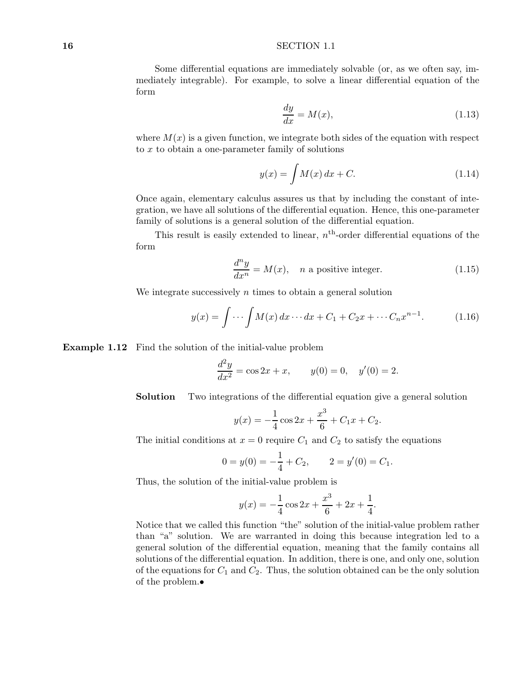#### **16** SECTION 1.1

Some differential equations are immediately solvable (or, as we often say, immediately integrable). For example, to solve a linear differential equation of the form

$$
\frac{dy}{dx} = M(x),\tag{1.13}
$$

where  $M(x)$  is a given function, we integrate both sides of the equation with respect to *x* to obtain a one-parameter family of solutions

$$
y(x) = \int M(x) \, dx + C. \tag{1.14}
$$

Once again, elementary calculus assures us that by including the constant of integration, we have all solutions of the differential equation. Hence, this one-parameter family of solutions is a general solution of the differential equation.

This result is easily extended to linear,  $n<sup>th</sup>$ -order differential equations of the form

$$
\frac{d^n y}{dx^n} = M(x), \quad n \text{ a positive integer.} \tag{1.15}
$$

We integrate successively *n* times to obtain a general solution

$$
y(x) = \int \cdots \int M(x) \, dx \cdots dx + C_1 + C_2 x + \cdots + C_n x^{n-1}.
$$
 (1.16)

**Example 1.12** Find the solution of the initial-value problem

$$
\frac{d^2y}{dx^2} = \cos 2x + x, \qquad y(0) = 0, \quad y'(0) = 2.
$$

**Solution** Two integrations of the differential equation give a general solution

$$
y(x) = -\frac{1}{4}\cos 2x + \frac{x^3}{6} + C_1x + C_2.
$$

The initial conditions at  $x = 0$  require  $C_1$  and  $C_2$  to satisfy the equations

$$
0 = y(0) = -\frac{1}{4} + C_2, \qquad 2 = y'(0) = C_1.
$$

Thus, the solution of the initial-value problem is

$$
y(x) = -\frac{1}{4}\cos 2x + \frac{x^3}{6} + 2x + \frac{1}{4}.
$$

Notice that we called this function "the" solution of the initial-value problem rather than "a" solution. We are warranted in doing this because integration led to a general solution of the differential equation, meaning that the family contains all solutions of the differential equation. In addition, there is one, and only one, solution of the equations for  $C_1$  and  $C_2$ . Thus, the solution obtained can be the only solution of the problem.•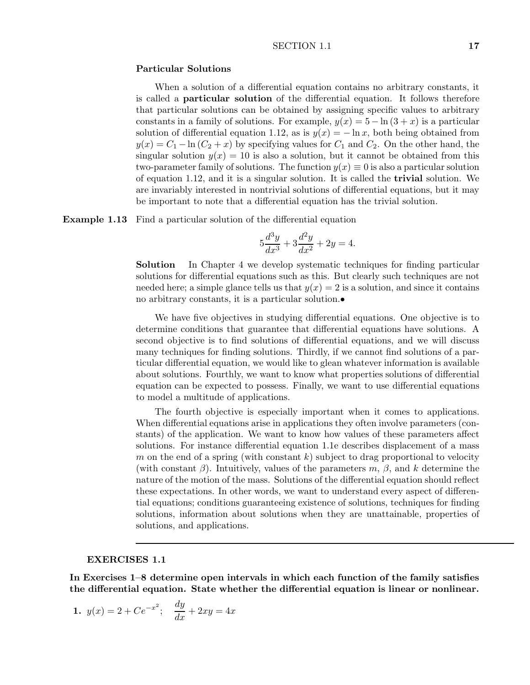#### SECTION 1.1 **17**

## **Particular Solutions**

When a solution of a differential equation contains no arbitrary constants, it is called a **particular solution** of the differential equation. It follows therefore that particular solutions can be obtained by assigning specific values to arbitrary constants in a family of solutions. For example,  $y(x) = 5 - \ln(3 + x)$  is a particular solution of differential equation 1.12, as is  $y(x) = -\ln x$ , both being obtained from  $y(x) = C_1 - \ln(C_2 + x)$  by specifying values for  $C_1$  and  $C_2$ . On the other hand, the singular solution  $y(x) = 10$  is also a solution, but it cannot be obtained from this two-parameter family of solutions. The function  $y(x) \equiv 0$  is also a particular solution of equation 1.12, and it is a singular solution. It is called the **trivial** solution. We are invariably interested in nontrivial solutions of differential equations, but it may be important to note that a differential equation has the trivial solution.

**Example 1.13** Find a particular solution of the differential equation

$$
5\frac{d^3y}{dx^3} + 3\frac{d^2y}{dx^2} + 2y = 4.
$$

**Solution** In Chapter 4 we develop systematic techniques for finding particular solutions for differential equations such as this. But clearly such techniques are not needed here; a simple glance tells us that  $y(x) = 2$  is a solution, and since it contains no arbitrary constants, it is a particular solution.•

We have five objectives in studying differential equations. One objective is to determine conditions that guarantee that differential equations have solutions. A second objective is to find solutions of differential equations, and we will discuss many techniques for finding solutions. Thirdly, if we cannot find solutions of a particular differential equation, we would like to glean whatever information is available about solutions. Fourthly, we want to know what properties solutions of differential equation can be expected to possess. Finally, we want to use differential equations to model a multitude of applications.

The fourth objective is especially important when it comes to applications. When differential equations arise in applications they often involve parameters (constants) of the application. We want to know how values of these parameters affect solutions. For instance differential equation 1.1e describes displacement of a mass *m* on the end of a spring (with constant *k*) subject to drag proportional to velocity (with constant *β*). Intuitively, values of the parameters *m*, *β*, and *k* determine the nature of the motion of the mass. Solutions of the differential equation should reflect these expectations. In other words, we want to understand every aspect of differential equations; conditions guaranteeing existence of solutions, techniques for finding solutions, information about solutions when they are unattainable, properties of solutions, and applications.

#### **EXERCISES 1.1**

**In Exercises 1–8 determine open intervals in which each function of the family satisfies the differential equation. State whether the differential equation is linear or nonlinear.**

1. 
$$
y(x) = 2 + Ce^{-x^2}
$$
;  $\frac{dy}{dx} + 2xy = 4x$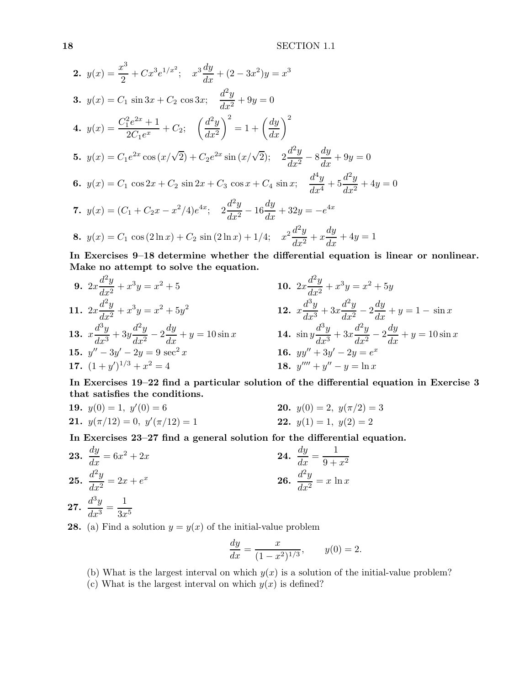2. 
$$
y(x) = \frac{x^3}{2} + Cx^3e^{1/x^2}
$$
;  $x^3\frac{dy}{dx} + (2 - 3x^2)y = x^3$   
\n3.  $y(x) = C_1 \sin 3x + C_2 \cos 3x$ ;  $\frac{d^2y}{dx^2} + 9y = 0$   
\n4.  $y(x) = \frac{C_1^2e^{2x} + 1}{2C_1e^x} + C_2$ ;  $\left(\frac{d^2y}{dx^2}\right)^2 = 1 + \left(\frac{dy}{dx}\right)^2$   
\n5.  $y(x) = C_1e^{2x}\cos(x/\sqrt{2}) + C_2e^{2x}\sin(x/\sqrt{2})$ ;  $2\frac{d^2y}{dx^2} - 8\frac{dy}{dx} + 9y = 0$   
\n6.  $y(x) = C_1 \cos 2x + C_2 \sin 2x + C_3 \cos x + C_4 \sin x$ ;  $\frac{d^4y}{dx^4} + 5\frac{d^2y}{dx^2} + 4y = 0$   
\n7.  $y(x) = (C_1 + C_2x - x^2/4)e^{4x}$ ;  $2\frac{d^2y}{dx^2} - 16\frac{dy}{dx} + 32y = -e^{4x}$   
\n8.  $y(x) = C_1 \cos(2\ln x) + C_2 \sin(2\ln x) + 1/4$ ;  $x^2 \frac{d^2y}{dx^2} + x \frac{dy}{dx} + 4y = 1$ 

**In Exercises 9–18 determine whether the differential equation is linear or nonlinear. Make no attempt to solve the equation.**

9. 
$$
2x\frac{d^2y}{dx^2} + x^3y = x^2 + 5
$$
  
\n10.  $2x\frac{d^2y}{dx^2} + x^3y = x^2 + 5y$   
\n11.  $2x\frac{d^2y}{dx^2} + x^3y = x^2 + 5y^2$   
\n12.  $x\frac{d^3y}{dx^3} + 3x\frac{d^2y}{dx^2} - 2\frac{dy}{dx} + y = 1 - \sin x$   
\n13.  $x\frac{d^3y}{dx^3} + 3y\frac{d^2y}{dx^2} - 2\frac{dy}{dx} + y = 10\sin x$   
\n14.  $\sin y\frac{d^3y}{dx^3} + 3x\frac{d^2y}{dx^2} - 2\frac{dy}{dx} + y = 10\sin x$   
\n15.  $y'' - 3y' - 2y = 9 \sec^2 x$   
\n16.  $yy'' + 3y' - 2y = e^x$   
\n17.  $(1+y')^{1/3} + x^2 = 4$   
\n18.  $y''' + y'' - y = \ln x$ 

**In Exercises 19–22 find a particular solution of the differential equation in Exercise 3 that satisfies the conditions.**

**19.** 
$$
y(0) = 1
$$
,  $y'(0) = 6$   
\n**20.**  $y(0) = 2$ ,  $y(\pi/2) = 3$   
\n**21.**  $y(\pi/12) = 0$ ,  $y'(\pi/12) = 1$   
\n**22.**  $y(1) = 1$ ,  $y(2) = 2$ 

**In Exercises 23–27 find a general solution for the differential equation.**

**23.** 
$$
\frac{dy}{dx} = 6x^2 + 2x
$$
  
\n**24.**  $\frac{dy}{dx} = \frac{1}{9 + x^2}$   
\n**25.**  $\frac{d^2y}{dx^2} = 2x + e^x$   
\n**26.**  $\frac{d^2y}{dx^2} = x \ln x$ 

$$
27. \ \frac{d^3y}{dx^3} = \frac{1}{3x^5}
$$

**28.** (a) Find a solution  $y = y(x)$  of the initial-value problem

$$
\frac{dy}{dx} = \frac{x}{(1 - x^2)^{1/3}}, \qquad y(0) = 2.
$$

- (b) What is the largest interval on which  $y(x)$  is a solution of the initial-value problem?
- (c) What is the largest interval on which  $y(x)$  is defined?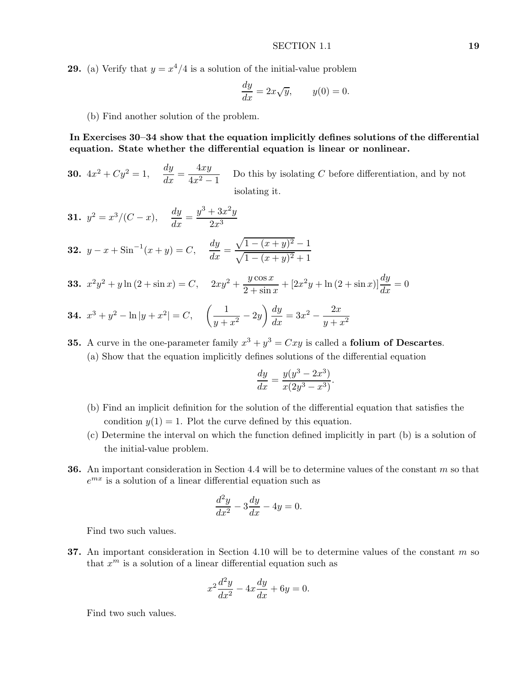**29.** (a) Verify that  $y = x^4/4$  is a solution of the initial-value problem

$$
\frac{dy}{dx} = 2x\sqrt{y}, \qquad y(0) = 0.
$$

(b) Find another solution of the problem.

**In Exercises 30–34 show that the equation implicitly defines solutions of the differential equation. State whether the differential equation is linear or nonlinear.**

**30.**  $4x^2 + Cy^2 = 1$ ,  $\frac{dy}{dx} = \frac{4xy}{4x^2 - 1}$  Do this by isolating *C* before differentiation, and by not isolating it.

**31.** 
$$
y^2 = x^3/(C - x)
$$
,  $\frac{dy}{dx} = \frac{y^3 + 3x^2y}{2x^3}$   
\n**32.**  $y - x + \sin^{-1}(x + y) = C$ ,  $\frac{dy}{dx} = \frac{\sqrt{1 - (x + y)^2} - 1}{\sqrt{1 - (x + y)^2} + 1}$ 

**33.**  $x^2y^2 + y\ln(2 + \sin x) = C$ ,  $2xy^2 + \frac{y\cos x}{2 + \sin x} + [2x^2y + \ln(2 + \sin x)]\frac{dy}{dx} = 0$ 

**34.** 
$$
x^3 + y^2 - \ln|y + x^2| = C
$$
,  $\left(\frac{1}{y + x^2} - 2y\right) \frac{dy}{dx} = 3x^2 - \frac{2x}{y + x^2}$ 

**35.** A curve in the one-parameter family  $x^3 + y^3 = Cxy$  is called a **folium of Descartes**. (a) Show that the equation implicitly defines solutions of the differential equation

$$
\frac{dy}{dx} = \frac{y(y^3 - 2x^3)}{x(2y^3 - x^3)}.
$$

- (b) Find an implicit definition for the solution of the differential equation that satisfies the condition  $y(1) = 1$ . Plot the curve defined by this equation.
- (c) Determine the interval on which the function defined implicitly in part (b) is a solution of the initial-value problem.
- **36.** An important consideration in Section 4.4 will be to determine values of the constant *m* so that  $e^{mx}$  is a solution of a linear differential equation such as

$$
\frac{d^2y}{dx^2} - 3\frac{dy}{dx} - 4y = 0.
$$

Find two such values.

**37.** An important consideration in Section 4.10 will be to determine values of the constant *m* so that  $x^m$  is a solution of a linear differential equation such as

$$
x^2\frac{d^2y}{dx^2} - 4x\frac{dy}{dx} + 6y = 0.
$$

Find two such values.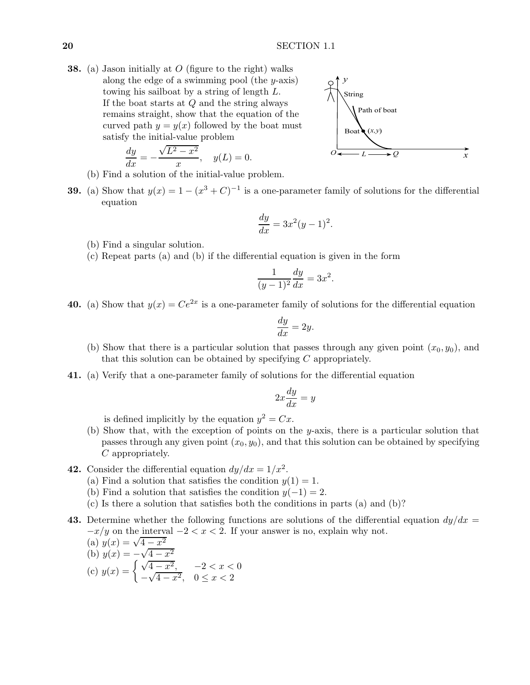**38.** (a) Jason initially at *O* (figure to the right) walks along the edge of a swimming pool (the *y*-axis) towing his sailboat by a string of length *L*. If the boat starts at *Q* and the string always remains straight, show that the equation of the curved path  $y = y(x)$  followed by the boat must satisfy the initial-value problem

$$
\frac{dy}{dx} = -\frac{\sqrt{L^2 - x^2}}{x}, \quad y(L) = 0.
$$



- (b) Find a solution of the initial-value problem.
- **39.** (a) Show that  $y(x) = 1 (x^3 + C)^{-1}$  is a one-parameter family of solutions for the differential equation

$$
\frac{dy}{dx} = 3x^2(y-1)^2.
$$

- (b) Find a singular solution.
- (c) Repeat parts (a) and (b) if the differential equation is given in the form

$$
\frac{1}{(y-1)^2}\frac{dy}{dx} = 3x^2.
$$

**40.** (a) Show that  $y(x) = Ce^{2x}$  is a one-parameter family of solutions for the differential equation

$$
\frac{dy}{dx} = 2y.
$$

- (b) Show that there is a particular solution that passes through any given point  $(x_0, y_0)$ , and that this solution can be obtained by specifying *C* appropriately.
- **41.** (a) Verify that a one-parameter family of solutions for the differential equation

$$
2x\frac{dy}{dx} = y
$$

is defined implicitly by the equation  $y^2 = Cx$ .

- (b) Show that, with the exception of points on the *y*-axis, there is a particular solution that passes through any given point  $(x_0, y_0)$ , and that this solution can be obtained by specifying *C* appropriately.
- **42.** Consider the differential equation  $dy/dx = 1/x^2$ .
	- (a) Find a solution that satisfies the condition  $y(1) = 1$ .
	- (b) Find a solution that satisfies the condition  $y(-1) = 2$ .
	- (c) Is there a solution that satisfies both the conditions in parts (a) and (b)?
- **43.** Determine whether the following functions are solutions of the differential equation  $dy/dx =$  $-x/y$  on the interval  $-2 < x < 2$ . If your answer is no, explain why not.<br>
(a)  $y(x) = \sqrt{4 - x^2}$

(a) 
$$
y(x) = \sqrt{4 - x^2}
$$
  
\n(b)  $y(x) = -\sqrt{4 - x^2}$   
\n(c)  $y(x) = \begin{cases} \sqrt{4 - x^2}, & -2 < x < 0 \\ -\sqrt{4 - x^2}, & 0 \le x < 2 \end{cases}$